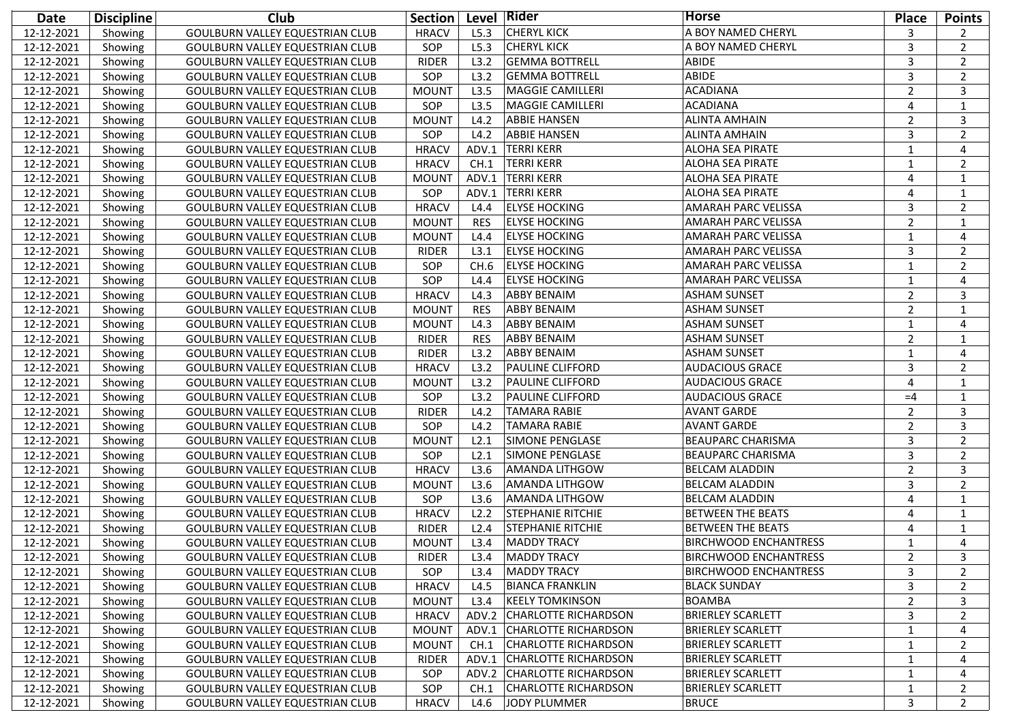| Date       | <b>Discipline</b> | Club                                   | <b>Section</b> |            | Level Rider                 | <b>Horse</b>                 | <b>Place</b>   | <b>Points</b>  |
|------------|-------------------|----------------------------------------|----------------|------------|-----------------------------|------------------------------|----------------|----------------|
| 12-12-2021 | Showing           | GOULBURN VALLEY EQUESTRIAN CLUB        | <b>HRACV</b>   | L5.3       | <b>CHERYL KICK</b>          | A BOY NAMED CHERYL           | 3              | 2              |
| 12-12-2021 | Showing           | <b>GOULBURN VALLEY EQUESTRIAN CLUB</b> | SOP            | L5.3       | <b>CHERYL KICK</b>          | A BOY NAMED CHERYL           | 3              | 2              |
| 12-12-2021 | Showing           | <b>GOULBURN VALLEY EQUESTRIAN CLUB</b> | <b>RIDER</b>   | L3.2       | <b>GEMMA BOTTRELL</b>       | ABIDE                        | 3              | 2              |
| 12-12-2021 | Showing           | <b>GOULBURN VALLEY EQUESTRIAN CLUB</b> | SOP            | L3.2       | <b>GEMMA BOTTRELL</b>       | ABIDE                        | 3              | 2              |
| 12-12-2021 | Showing           | <b>GOULBURN VALLEY EQUESTRIAN CLUB</b> | <b>MOUNT</b>   | L3.5       | <b>MAGGIE CAMILLERI</b>     | <b>ACADIANA</b>              | $\overline{2}$ | 3              |
| 12-12-2021 | Showing           | <b>GOULBURN VALLEY EQUESTRIAN CLUB</b> | SOP            | L3.5       | <b>MAGGIE CAMILLERI</b>     | <b>ACADIANA</b>              | $\overline{4}$ | 1              |
| 12-12-2021 | Showing           | <b>GOULBURN VALLEY EQUESTRIAN CLUB</b> | <b>MOUNT</b>   | L4.2       | <b>ABBIE HANSEN</b>         | <b>ALINTA AMHAIN</b>         | $\overline{2}$ | 3              |
| 12-12-2021 | Showing           | GOULBURN VALLEY EQUESTRIAN CLUB        | SOP            | L4.2       | <b>ABBIE HANSEN</b>         | <b>ALINTA AMHAIN</b>         | $\overline{3}$ | 2              |
| 12-12-2021 | Showing           | GOULBURN VALLEY EQUESTRIAN CLUB        | <b>HRACV</b>   | ADV.1      | <b>TERRI KERR</b>           | <b>ALOHA SEA PIRATE</b>      | $\mathbf{1}$   | $\overline{4}$ |
| 12-12-2021 | Showing           | <b>GOULBURN VALLEY EQUESTRIAN CLUB</b> | <b>HRACV</b>   | CH.1       | <b>TERRI KERR</b>           | <b>ALOHA SEA PIRATE</b>      | $\mathbf{1}$   | 2              |
| 12-12-2021 | Showing           | <b>GOULBURN VALLEY EQUESTRIAN CLUB</b> | <b>MOUNT</b>   | ADV.1      | <b>TERRI KERR</b>           | ALOHA SEA PIRATE             | $\overline{4}$ | $\mathbf{1}$   |
| 12-12-2021 | Showing           | <b>GOULBURN VALLEY EQUESTRIAN CLUB</b> | SOP            | ADV.1      | <b>TERRI KERR</b>           | ALOHA SEA PIRATE             | $\overline{4}$ | 1              |
| 12-12-2021 | Showing           | <b>GOULBURN VALLEY EQUESTRIAN CLUB</b> | <b>HRACV</b>   | L4.4       | <b>ELYSE HOCKING</b>        | AMARAH PARC VELISSA          | 3              | $\overline{2}$ |
| 12-12-2021 | Showing           | <b>GOULBURN VALLEY EQUESTRIAN CLUB</b> | <b>MOUNT</b>   | <b>RES</b> | <b>ELYSE HOCKING</b>        | AMARAH PARC VELISSA          | $\overline{2}$ | 1              |
| 12-12-2021 | Showing           | GOULBURN VALLEY EQUESTRIAN CLUB        | <b>MOUNT</b>   | L4.4       | <b>ELYSE HOCKING</b>        | AMARAH PARC VELISSA          | $\mathbf{1}$   | $\overline{4}$ |
| 12-12-2021 | Showing           | <b>GOULBURN VALLEY EQUESTRIAN CLUB</b> | <b>RIDER</b>   | L3.1       | <b>ELYSE HOCKING</b>        | AMARAH PARC VELISSA          | 3              | 2              |
| 12-12-2021 | Showing           | GOULBURN VALLEY EQUESTRIAN CLUB        | SOP            | CH.6       | <b>ELYSE HOCKING</b>        | AMARAH PARC VELISSA          | $\mathbf{1}$   | 2              |
| 12-12-2021 | Showing           | GOULBURN VALLEY EQUESTRIAN CLUB        | SOP            | L4.4       | <b>ELYSE HOCKING</b>        | AMARAH PARC VELISSA          | $\mathbf{1}$   | $\overline{4}$ |
| 12-12-2021 | Showing           | GOULBURN VALLEY EQUESTRIAN CLUB        | <b>HRACV</b>   | L4.3       | <b>ABBY BENAIM</b>          | <b>ASHAM SUNSET</b>          | $\overline{2}$ | 3              |
| 12-12-2021 | Showing           | GOULBURN VALLEY EQUESTRIAN CLUB        | <b>MOUNT</b>   | <b>RES</b> | <b>ABBY BENAIM</b>          | <b>ASHAM SUNSET</b>          | $\overline{2}$ | 1              |
| 12-12-2021 | Showing           | <b>GOULBURN VALLEY EQUESTRIAN CLUB</b> | <b>MOUNT</b>   | L4.3       | <b>ABBY BENAIM</b>          | <b>ASHAM SUNSET</b>          | $\mathbf{1}$   | $\overline{4}$ |
| 12-12-2021 | Showing           | GOULBURN VALLEY EQUESTRIAN CLUB        | <b>RIDER</b>   | <b>RES</b> | <b>ABBY BENAIM</b>          | <b>ASHAM SUNSET</b>          | $\overline{2}$ | 1              |
| 12-12-2021 | Showing           | GOULBURN VALLEY EQUESTRIAN CLUB        | <b>RIDER</b>   | L3.2       | <b>ABBY BENAIM</b>          | <b>ASHAM SUNSET</b>          | $\mathbf{1}$   | $\overline{4}$ |
| 12-12-2021 | Showing           | GOULBURN VALLEY EQUESTRIAN CLUB        | <b>HRACV</b>   | L3.2       | <b>PAULINE CLIFFORD</b>     | <b>AUDACIOUS GRACE</b>       | $\overline{3}$ | 2              |
| 12-12-2021 | Showing           | GOULBURN VALLEY EQUESTRIAN CLUB        | <b>MOUNT</b>   | L3.2       | <b>PAULINE CLIFFORD</b>     | <b>AUDACIOUS GRACE</b>       | $\overline{4}$ | 1              |
| 12-12-2021 | Showing           | GOULBURN VALLEY EQUESTRIAN CLUB        | SOP            | L3.2       | <b>PAULINE CLIFFORD</b>     | <b>AUDACIOUS GRACE</b>       | $=4$           | 1              |
| 12-12-2021 | Showing           | <b>GOULBURN VALLEY EQUESTRIAN CLUB</b> | <b>RIDER</b>   | L4.2       | <b>TAMARA RABIE</b>         | <b>AVANT GARDE</b>           | $\overline{2}$ | 3              |
| 12-12-2021 | Showing           | GOULBURN VALLEY EQUESTRIAN CLUB        | SOP            | L4.2       | <b>TAMARA RABIE</b>         | <b>AVANT GARDE</b>           | $\overline{2}$ | 3              |
| 12-12-2021 | Showing           | GOULBURN VALLEY EQUESTRIAN CLUB        | <b>MOUNT</b>   | L2.1       | SIMONE PENGLASE             | <b>BEAUPARC CHARISMA</b>     | $\overline{3}$ | $\overline{2}$ |
| 12-12-2021 | Showing           | GOULBURN VALLEY EQUESTRIAN CLUB        | SOP            | L2.1       | SIMONE PENGLASE             | <b>BEAUPARC CHARISMA</b>     | $\overline{3}$ | $\overline{2}$ |
| 12-12-2021 | Showing           | GOULBURN VALLEY EQUESTRIAN CLUB        | <b>HRACV</b>   | L3.6       | AMANDA LITHGOW              | <b>BELCAM ALADDIN</b>        | $\overline{2}$ | 3              |
| 12-12-2021 | Showing           | GOULBURN VALLEY EQUESTRIAN CLUB        | <b>MOUNT</b>   | L3.6       | AMANDA LITHGOW              | <b>BELCAM ALADDIN</b>        | 3              | $\overline{2}$ |
| 12-12-2021 | Showing           | <b>GOULBURN VALLEY EQUESTRIAN CLUB</b> | SOP            | L3.6       | AMANDA LITHGOW              | <b>BELCAM ALADDIN</b>        | $\overline{4}$ | 1              |
| 12-12-2021 | Showing           | <b>GOULBURN VALLEY EQUESTRIAN CLUB</b> | <b>HRACV</b>   | L2.2       | <b>STEPHANIE RITCHIE</b>    | <b>BETWEEN THE BEATS</b>     | $\overline{4}$ | 1              |
| 12-12-2021 | Showing           | <b>GOULBURN VALLEY EQUESTRIAN CLUB</b> | <b>RIDER</b>   | L2.4       | <b>STEPHANIE RITCHIE</b>    | <b>BETWEEN THE BEATS</b>     | $\overline{4}$ | 1              |
| 12-12-2021 | Showing           | <b>GOULBURN VALLEY EQUESTRIAN CLUB</b> | <b>MOUNT</b>   | L3.4       | <b>MADDY TRACY</b>          | <b>BIRCHWOOD ENCHANTRESS</b> | $\mathbf{1}$   | $\overline{4}$ |
| 12-12-2021 | Showing           | GOULBURN VALLEY EQUESTRIAN CLUB        | <b>RIDER</b>   | L3.4       | MADDY TRACY                 | <b>BIRCHWOOD ENCHANTRESS</b> | 2              | 3              |
| 12-12-2021 | Showing           | <b>GOULBURN VALLEY EQUESTRIAN CLUB</b> | SOP            | L3.4       | <b>MADDY TRACY</b>          | <b>BIRCHWOOD ENCHANTRESS</b> | 3              | $\overline{2}$ |
| 12-12-2021 | Showing           | <b>GOULBURN VALLEY EQUESTRIAN CLUB</b> | <b>HRACV</b>   | L4.5       | <b>BIANCA FRANKLIN</b>      | <b>BLACK SUNDAY</b>          | 3              | 2              |
| 12-12-2021 | Showing           | <b>GOULBURN VALLEY EQUESTRIAN CLUB</b> | <b>MOUNT</b>   | L3.4       | <b>KEELY TOMKINSON</b>      | BOAMBA                       | $\overline{2}$ | 3              |
| 12-12-2021 | Showing           | <b>GOULBURN VALLEY EQUESTRIAN CLUB</b> | <b>HRACV</b>   | ADV.2      | <b>CHARLOTTE RICHARDSON</b> | <b>BRIERLEY SCARLETT</b>     | 3              | 2              |
| 12-12-2021 | Showing           | <b>GOULBURN VALLEY EQUESTRIAN CLUB</b> | <b>MOUNT</b>   | ADV.1      | <b>CHARLOTTE RICHARDSON</b> | <b>BRIERLEY SCARLETT</b>     | $\mathbf{1}$   | 4              |
| 12-12-2021 | Showing           | <b>GOULBURN VALLEY EQUESTRIAN CLUB</b> | <b>MOUNT</b>   | CH.1       | <b>CHARLOTTE RICHARDSON</b> | <b>BRIERLEY SCARLETT</b>     | $\mathbf{1}$   | 2              |
| 12-12-2021 | Showing           | <b>GOULBURN VALLEY EQUESTRIAN CLUB</b> | <b>RIDER</b>   | ADV.1      | <b>CHARLOTTE RICHARDSON</b> | <b>BRIERLEY SCARLETT</b>     | $\mathbf{1}$   | 4              |
| 12-12-2021 | Showing           | <b>GOULBURN VALLEY EQUESTRIAN CLUB</b> | SOP            | ADV.2      | <b>CHARLOTTE RICHARDSON</b> | <b>BRIERLEY SCARLETT</b>     | $\mathbf{1}$   | 4              |
| 12-12-2021 | Showing           | GOULBURN VALLEY EQUESTRIAN CLUB        | SOP            | CH.1       | <b>CHARLOTTE RICHARDSON</b> | <b>BRIERLEY SCARLETT</b>     | $\mathbf{1}$   | 2              |
| 12-12-2021 | Showing           | <b>GOULBURN VALLEY EQUESTRIAN CLUB</b> | <b>HRACV</b>   | L4.6       | JODY PLUMMER                | <b>BRUCE</b>                 | 3              | $\overline{2}$ |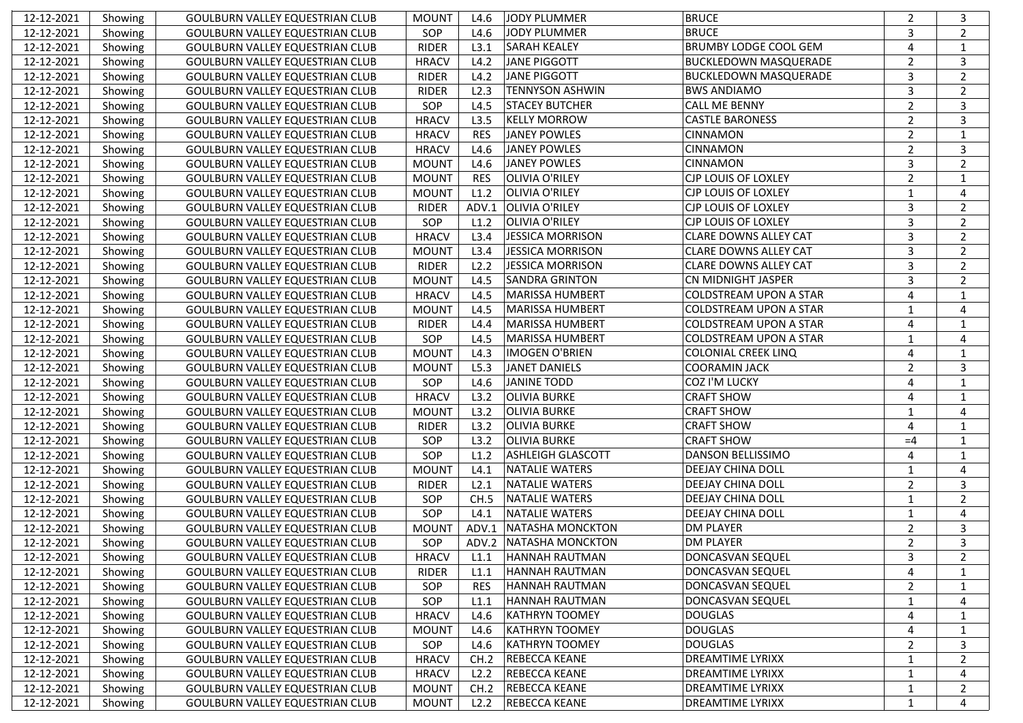| 12-12-2021 | Showing | GOULBURN VALLEY EQUESTRIAN CLUB        | <b>MOUNT</b> | L4.6       | JODY PLUMMER             | <b>BRUCE</b>                  | 2              | 3              |
|------------|---------|----------------------------------------|--------------|------------|--------------------------|-------------------------------|----------------|----------------|
| 12-12-2021 | Showing | <b>GOULBURN VALLEY EQUESTRIAN CLUB</b> | SOP          | L4.6       | JODY PLUMMER             | <b>BRUCE</b>                  | 3              | $\overline{2}$ |
| 12-12-2021 | Showing | <b>GOULBURN VALLEY EQUESTRIAN CLUB</b> | <b>RIDER</b> | L3.1       | <b>SARAH KEALEY</b>      | <b>BRUMBY LODGE COOL GEM</b>  | $\overline{4}$ | $\mathbf{1}$   |
| 12-12-2021 | Showing | <b>GOULBURN VALLEY EQUESTRIAN CLUB</b> | <b>HRACV</b> | L4.2       | <b>JANE PIGGOTT</b>      | <b>BUCKLEDOWN MASQUERADE</b>  | $\overline{2}$ | 3              |
| 12-12-2021 | Showing | <b>GOULBURN VALLEY EQUESTRIAN CLUB</b> | <b>RIDER</b> | L4.2       | <b>JANE PIGGOTT</b>      | <b>BUCKLEDOWN MASQUERADE</b>  | $\mathbf{3}$   | $\overline{2}$ |
| 12-12-2021 | Showing | <b>GOULBURN VALLEY EQUESTRIAN CLUB</b> | <b>RIDER</b> | L2.3       | <b>TENNYSON ASHWIN</b>   | <b>BWS ANDIAMO</b>            | 3              | $\overline{2}$ |
| 12-12-2021 | Showing | <b>GOULBURN VALLEY EQUESTRIAN CLUB</b> | SOP          | L4.5       | <b>STACEY BUTCHER</b>    | <b>CALL ME BENNY</b>          | $\overline{2}$ | 3              |
| 12-12-2021 | Showing | <b>GOULBURN VALLEY EQUESTRIAN CLUB</b> | <b>HRACV</b> | L3.5       | <b>KELLY MORROW</b>      | <b>CASTLE BARONESS</b>        | $\overline{2}$ | 3              |
| 12-12-2021 | Showing | <b>GOULBURN VALLEY EQUESTRIAN CLUB</b> | <b>HRACV</b> | <b>RES</b> | <b>JANEY POWLES</b>      | <b>CINNAMON</b>               | $\overline{2}$ | $\mathbf{1}$   |
| 12-12-2021 | Showing | <b>GOULBURN VALLEY EQUESTRIAN CLUB</b> | <b>HRACV</b> | L4.6       | <b>JANEY POWLES</b>      | <b>CINNAMON</b>               | $\overline{2}$ | 3              |
| 12-12-2021 | Showing | <b>GOULBURN VALLEY EQUESTRIAN CLUB</b> | <b>MOUNT</b> | L4.6       | <b>JANEY POWLES</b>      | <b>CINNAMON</b>               | $\overline{3}$ | $\overline{2}$ |
| 12-12-2021 | Showing | <b>GOULBURN VALLEY EQUESTRIAN CLUB</b> | <b>MOUNT</b> | <b>RES</b> | <b>OLIVIA O'RILEY</b>    | <b>CJP LOUIS OF LOXLEY</b>    | $\overline{2}$ | 1              |
| 12-12-2021 | Showing | <b>GOULBURN VALLEY EQUESTRIAN CLUB</b> | <b>MOUNT</b> | L1.2       | <b>OLIVIA O'RILEY</b>    | <b>CJP LOUIS OF LOXLEY</b>    | 1              | 4              |
| 12-12-2021 | Showing | <b>GOULBURN VALLEY EQUESTRIAN CLUB</b> | <b>RIDER</b> | ADV.1      | <b>OLIVIA O'RILEY</b>    | CJP LOUIS OF LOXLEY           | $\mathbf{3}$   | $\overline{2}$ |
| 12-12-2021 | Showing | <b>GOULBURN VALLEY EQUESTRIAN CLUB</b> | SOP          | L1.2       | <b>OLIVIA O'RILEY</b>    | <b>CJP LOUIS OF LOXLEY</b>    | $\overline{3}$ | $\overline{2}$ |
| 12-12-2021 | Showing | <b>GOULBURN VALLEY EQUESTRIAN CLUB</b> | <b>HRACV</b> | L3.4       | <b>JESSICA MORRISON</b>  | <b>CLARE DOWNS ALLEY CAT</b>  | $\overline{3}$ | $\overline{2}$ |
| 12-12-2021 | Showing | <b>GOULBURN VALLEY EQUESTRIAN CLUB</b> | <b>MOUNT</b> | L3.4       | <b>JESSICA MORRISON</b>  | <b>CLARE DOWNS ALLEY CAT</b>  | $\overline{3}$ | $\overline{2}$ |
| 12-12-2021 | Showing | <b>GOULBURN VALLEY EQUESTRIAN CLUB</b> | <b>RIDER</b> | L2.2       | <b>JESSICA MORRISON</b>  | <b>CLARE DOWNS ALLEY CAT</b>  | $\mathbf{3}$   | $\overline{2}$ |
| 12-12-2021 | Showing | <b>GOULBURN VALLEY EQUESTRIAN CLUB</b> | <b>MOUNT</b> | L4.5       | <b>SANDRA GRINTON</b>    | CN MIDNIGHT JASPER            | $\mathbf{3}$   | 2              |
| 12-12-2021 | Showing | <b>GOULBURN VALLEY EQUESTRIAN CLUB</b> | <b>HRACV</b> | L4.5       | <b>MARISSA HUMBERT</b>   | <b>COLDSTREAM UPON A STAR</b> | $\overline{4}$ | 1              |
| 12-12-2021 | Showing | <b>GOULBURN VALLEY EQUESTRIAN CLUB</b> | <b>MOUNT</b> | L4.5       | <b>MARISSA HUMBERT</b>   | <b>COLDSTREAM UPON A STAR</b> | $\mathbf{1}$   | 4              |
| 12-12-2021 | Showing | <b>GOULBURN VALLEY EQUESTRIAN CLUB</b> | <b>RIDER</b> | L4.4       | <b>MARISSA HUMBERT</b>   | <b>COLDSTREAM UPON A STAR</b> | $\overline{4}$ | 1              |
| 12-12-2021 | Showing | <b>GOULBURN VALLEY EQUESTRIAN CLUB</b> | SOP          | L4.5       | <b>MARISSA HUMBERT</b>   | <b>COLDSTREAM UPON A STAR</b> | 1              | 4              |
| 12-12-2021 | Showing | <b>GOULBURN VALLEY EQUESTRIAN CLUB</b> | <b>MOUNT</b> | L4.3       | <b>IMOGEN O'BRIEN</b>    | <b>COLONIAL CREEK LINQ</b>    | 4              | 1              |
| 12-12-2021 | Showing | <b>GOULBURN VALLEY EQUESTRIAN CLUB</b> | <b>MOUNT</b> | L5.3       | <b>JANET DANIELS</b>     | <b>COORAMIN JACK</b>          | $\overline{2}$ | 3              |
| 12-12-2021 | Showing | <b>GOULBURN VALLEY EQUESTRIAN CLUB</b> | SOP          | L4.6       | <b>JANINE TODD</b>       | COZ I'M LUCKY                 | $\overline{4}$ | 1              |
| 12-12-2021 | Showing | <b>GOULBURN VALLEY EQUESTRIAN CLUB</b> | <b>HRACV</b> | L3.2       | <b>OLIVIA BURKE</b>      | <b>CRAFT SHOW</b>             | $\overline{4}$ | $\mathbf{1}$   |
| 12-12-2021 | Showing | <b>GOULBURN VALLEY EQUESTRIAN CLUB</b> | <b>MOUNT</b> | L3.2       | <b>OLIVIA BURKE</b>      | <b>CRAFT SHOW</b>             | $\mathbf{1}$   | 4              |
| 12-12-2021 | Showing | <b>GOULBURN VALLEY EQUESTRIAN CLUB</b> | <b>RIDER</b> | L3.2       | <b>OLIVIA BURKE</b>      | <b>CRAFT SHOW</b>             | 4              | 1              |
| 12-12-2021 | Showing | <b>GOULBURN VALLEY EQUESTRIAN CLUB</b> | SOP          | L3.2       | <b>OLIVIA BURKE</b>      | <b>CRAFT SHOW</b>             | $=4$           | 1              |
| 12-12-2021 | Showing | <b>GOULBURN VALLEY EQUESTRIAN CLUB</b> | SOP          | L1.2       | <b>ASHLEIGH GLASCOTT</b> | <b>DANSON BELLISSIMO</b>      | $\overline{4}$ | 1              |
| 12-12-2021 | Showing | <b>GOULBURN VALLEY EQUESTRIAN CLUB</b> | <b>MOUNT</b> | L4.1       | <b>NATALIE WATERS</b>    | <b>DEEJAY CHINA DOLL</b>      | $\mathbf{1}$   | 4              |
| 12-12-2021 | Showing | <b>GOULBURN VALLEY EQUESTRIAN CLUB</b> | <b>RIDER</b> | L2.1       | <b>NATALIE WATERS</b>    | <b>DEEJAY CHINA DOLL</b>      | $\overline{2}$ | 3              |
| 12-12-2021 | Showing | <b>GOULBURN VALLEY EQUESTRIAN CLUB</b> | SOP          | CH.5       | <b>NATALIE WATERS</b>    | <b>DEEJAY CHINA DOLL</b>      | $\mathbf{1}$   | $\overline{2}$ |
| 12-12-2021 | Showing | <b>GOULBURN VALLEY EQUESTRIAN CLUB</b> | SOP          | L4.1       | <b>NATALIE WATERS</b>    | <b>DEEJAY CHINA DOLL</b>      | $\mathbf{1}$   | 4              |
| 12-12-2021 | Showing | <b>GOULBURN VALLEY EQUESTRIAN CLUB</b> | <b>MOUNT</b> |            | ADV.1 NATASHA MONCKTON   | <b>DM PLAYER</b>              | $\overline{2}$ | 3              |
| 12-12-2021 | Showing | <b>GOULBURN VALLEY EQUESTRIAN CLUB</b> | SOP          |            | ADV.2 NATASHA MONCKTON   | <b>DM PLAYER</b>              | $\overline{2}$ | 3              |
| 12-12-2021 | Showing | GOULBURN VALLEY EQUESTRIAN CLUB        | <b>HRACV</b> | L1.1       | <b>HANNAH RAUTMAN</b>    | <b>DONCASVAN SEQUEL</b>       | 3              | 2              |
| 12-12-2021 | Showing | <b>GOULBURN VALLEY EQUESTRIAN CLUB</b> | <b>RIDER</b> | L1.1       | HANNAH RAUTMAN           | DONCASVAN SEQUEL              | 4              | 1              |
| 12-12-2021 | Showing | <b>GOULBURN VALLEY EQUESTRIAN CLUB</b> | SOP          | <b>RES</b> | HANNAH RAUTMAN           | DONCASVAN SEQUEL              | $\overline{2}$ | 1              |
| 12-12-2021 | Showing | <b>GOULBURN VALLEY EQUESTRIAN CLUB</b> | SOP          | L1.1       | HANNAH RAUTMAN           | DONCASVAN SEQUEL              | $\mathbf{1}$   | 4              |
| 12-12-2021 | Showing | GOULBURN VALLEY EQUESTRIAN CLUB        | <b>HRACV</b> | L4.6       | <b>KATHRYN TOOMEY</b>    | <b>DOUGLAS</b>                | 4              | 1              |
| 12-12-2021 | Showing | GOULBURN VALLEY EQUESTRIAN CLUB        | <b>MOUNT</b> | L4.6       | <b>KATHRYN TOOMEY</b>    | <b>DOUGLAS</b>                | 4              | -1             |
| 12-12-2021 | Showing | GOULBURN VALLEY EQUESTRIAN CLUB        | SOP          | L4.6       | <b>KATHRYN TOOMEY</b>    | <b>DOUGLAS</b>                | $\overline{2}$ | 3              |
| 12-12-2021 | Showing | GOULBURN VALLEY EQUESTRIAN CLUB        | <b>HRACV</b> | CH.2       | <b>REBECCA KEANE</b>     | DREAMTIME LYRIXX              | $\mathbf{1}$   | $\overline{2}$ |
| 12-12-2021 | Showing | <b>GOULBURN VALLEY EQUESTRIAN CLUB</b> | <b>HRACV</b> | L2.2       | REBECCA KEANE            | <b>DREAMTIME LYRIXX</b>       | $\mathbf{1}$   | 4              |
| 12-12-2021 | Showing | GOULBURN VALLEY EQUESTRIAN CLUB        | <b>MOUNT</b> | CH.2       | <b>REBECCA KEANE</b>     | <b>DREAMTIME LYRIXX</b>       | $\mathbf{1}$   | 2              |
| 12-12-2021 | Showing | GOULBURN VALLEY EQUESTRIAN CLUB        | <b>MOUNT</b> | L2.2       | <b>REBECCA KEANE</b>     | <b>DREAMTIME LYRIXX</b>       | $\mathbf{1}$   | 4              |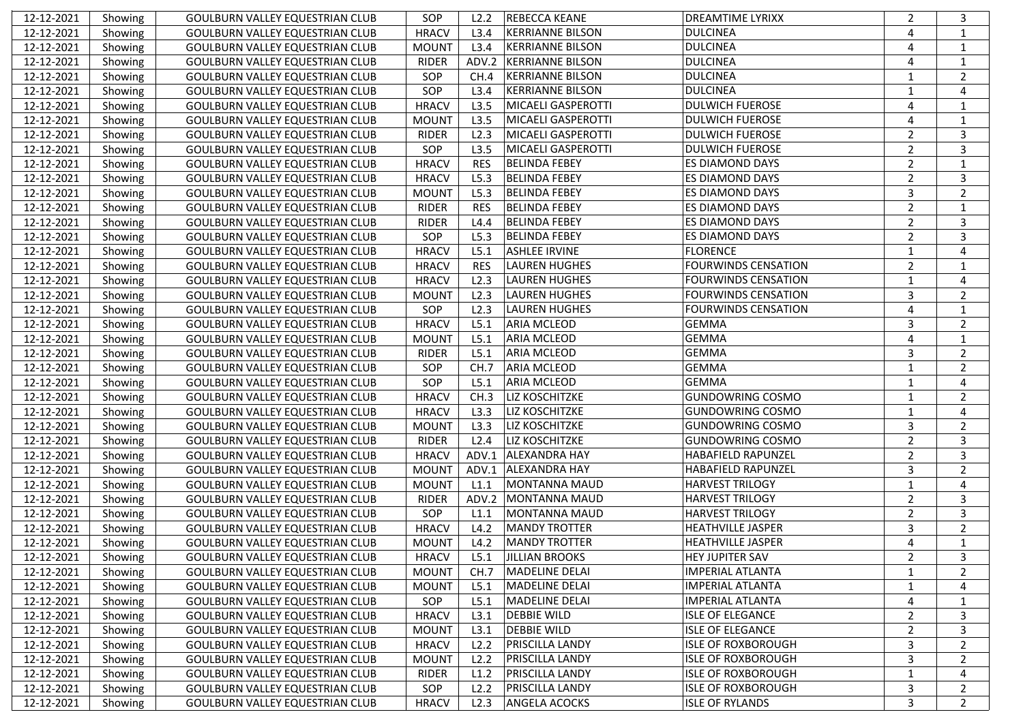| 12-12-2021 | Showing | <b>GOULBURN VALLEY EQUESTRIAN CLUB</b> | SOP          | L2.2       | <b>REBECCA KEANE</b>      | <b>DREAMTIME LYRIXX</b>    | $\overline{2}$ | 3              |
|------------|---------|----------------------------------------|--------------|------------|---------------------------|----------------------------|----------------|----------------|
| 12-12-2021 | Showing | <b>GOULBURN VALLEY EQUESTRIAN CLUB</b> | <b>HRACV</b> | L3.4       | <b>KERRIANNE BILSON</b>   | <b>DULCINEA</b>            | 4              | 1              |
| 12-12-2021 | Showing | <b>GOULBURN VALLEY EQUESTRIAN CLUB</b> | <b>MOUNT</b> | L3.4       | <b>KERRIANNE BILSON</b>   | <b>DULCINEA</b>            | $\overline{a}$ | $\mathbf{1}$   |
| 12-12-2021 | Showing | <b>GOULBURN VALLEY EQUESTRIAN CLUB</b> | <b>RIDER</b> | ADV.2      | <b>KERRIANNE BILSON</b>   | <b>DULCINEA</b>            | $\overline{a}$ | $\mathbf{1}$   |
| 12-12-2021 | Showing | <b>GOULBURN VALLEY EQUESTRIAN CLUB</b> | SOP          | CH.4       | <b>KERRIANNE BILSON</b>   | <b>DULCINEA</b>            | $\mathbf{1}$   | $\overline{2}$ |
| 12-12-2021 | Showing | <b>GOULBURN VALLEY EQUESTRIAN CLUB</b> | SOP          | L3.4       | <b>KERRIANNE BILSON</b>   | <b>DULCINEA</b>            | 1              | $\overline{4}$ |
| 12-12-2021 | Showing | <b>GOULBURN VALLEY EQUESTRIAN CLUB</b> | <b>HRACV</b> | L3.5       | MICAELI GASPEROTTI        | <b>DULWICH FUEROSE</b>     | $\overline{4}$ | 1              |
| 12-12-2021 | Showing | <b>GOULBURN VALLEY EQUESTRIAN CLUB</b> | <b>MOUNT</b> | L3.5       | MICAELI GASPEROTTI        | <b>DULWICH FUEROSE</b>     | $\overline{4}$ | 1              |
| 12-12-2021 | Showing | <b>GOULBURN VALLEY EQUESTRIAN CLUB</b> | <b>RIDER</b> | L2.3       | MICAELI GASPEROTTI        | <b>DULWICH FUEROSE</b>     | $\overline{2}$ | 3              |
| 12-12-2021 | Showing | <b>GOULBURN VALLEY EQUESTRIAN CLUB</b> | SOP          | L3.5       | <b>MICAELI GASPEROTTI</b> | <b>DULWICH FUEROSE</b>     | $\overline{2}$ | 3              |
| 12-12-2021 | Showing | <b>GOULBURN VALLEY EQUESTRIAN CLUB</b> | <b>HRACV</b> | <b>RES</b> | <b>BELINDA FEBEY</b>      | <b>ES DIAMOND DAYS</b>     | $\overline{2}$ | $\mathbf{1}$   |
| 12-12-2021 | Showing | <b>GOULBURN VALLEY EQUESTRIAN CLUB</b> | <b>HRACV</b> | L5.3       | <b>BELINDA FEBEY</b>      | <b>ES DIAMOND DAYS</b>     | $\overline{2}$ | 3              |
| 12-12-2021 | Showing | <b>GOULBURN VALLEY EQUESTRIAN CLUB</b> | <b>MOUNT</b> | L5.3       | <b>BELINDA FEBEY</b>      | <b>ES DIAMOND DAYS</b>     | $\mathbf{3}$   | 2              |
| 12-12-2021 | Showing | <b>GOULBURN VALLEY EQUESTRIAN CLUB</b> | <b>RIDER</b> | <b>RES</b> | <b>BELINDA FEBEY</b>      | <b>ES DIAMOND DAYS</b>     | $\overline{2}$ | 1              |
| 12-12-2021 | Showing | <b>GOULBURN VALLEY EQUESTRIAN CLUB</b> | <b>RIDER</b> | L4.4       | <b>BELINDA FEBEY</b>      | <b>ES DIAMOND DAYS</b>     | $\overline{2}$ | 3              |
| 12-12-2021 | Showing | <b>GOULBURN VALLEY EQUESTRIAN CLUB</b> | SOP          | L5.3       | <b>BELINDA FEBEY</b>      | <b>ES DIAMOND DAYS</b>     | $\overline{2}$ | 3              |
| 12-12-2021 | Showing | <b>GOULBURN VALLEY EQUESTRIAN CLUB</b> | <b>HRACV</b> | L5.1       | <b>ASHLEE IRVINE</b>      | <b>FLORENCE</b>            | $\mathbf{1}$   | $\overline{4}$ |
| 12-12-2021 | Showing | <b>GOULBURN VALLEY EQUESTRIAN CLUB</b> | <b>HRACV</b> | <b>RES</b> | <b>LAUREN HUGHES</b>      | <b>FOURWINDS CENSATION</b> | $\overline{2}$ | 1              |
| 12-12-2021 | Showing | <b>GOULBURN VALLEY EQUESTRIAN CLUB</b> | <b>HRACV</b> | L2.3       | <b>LAUREN HUGHES</b>      | <b>FOURWINDS CENSATION</b> | $\mathbf{1}$   | $\overline{4}$ |
| 12-12-2021 | Showing | <b>GOULBURN VALLEY EQUESTRIAN CLUB</b> | <b>MOUNT</b> | L2.3       | <b>LAUREN HUGHES</b>      | <b>FOURWINDS CENSATION</b> | 3              | 2              |
| 12-12-2021 | Showing | <b>GOULBURN VALLEY EQUESTRIAN CLUB</b> | SOP          | L2.3       | <b>LAUREN HUGHES</b>      | <b>FOURWINDS CENSATION</b> | $\overline{4}$ | $\mathbf{1}$   |
| 12-12-2021 | Showing | <b>GOULBURN VALLEY EQUESTRIAN CLUB</b> | <b>HRACV</b> | L5.1       | <b>ARIA MCLEOD</b>        | <b>GEMMA</b>               | 3              | $\overline{2}$ |
| 12-12-2021 | Showing | <b>GOULBURN VALLEY EQUESTRIAN CLUB</b> | <b>MOUNT</b> | L5.1       | <b>ARIA MCLEOD</b>        | <b>GEMMA</b>               | $\overline{4}$ | 1              |
| 12-12-2021 | Showing | <b>GOULBURN VALLEY EQUESTRIAN CLUB</b> | <b>RIDER</b> | L5.1       | <b>ARIA MCLEOD</b>        | <b>GEMMA</b>               | 3              | 2              |
| 12-12-2021 | Showing | <b>GOULBURN VALLEY EQUESTRIAN CLUB</b> | SOP          | CH.7       | <b>ARIA MCLEOD</b>        | <b>GEMMA</b>               | $\mathbf{1}$   | 2              |
| 12-12-2021 | Showing | <b>GOULBURN VALLEY EQUESTRIAN CLUB</b> | SOP          | L5.1       | <b>ARIA MCLEOD</b>        | <b>GEMMA</b>               | $\mathbf{1}$   | $\overline{4}$ |
| 12-12-2021 | Showing | <b>GOULBURN VALLEY EQUESTRIAN CLUB</b> | <b>HRACV</b> | CH.3       | <b>LIZ KOSCHITZKE</b>     | <b>GUNDOWRING COSMO</b>    | $\mathbf{1}$   | 2              |
| 12-12-2021 | Showing | <b>GOULBURN VALLEY EQUESTRIAN CLUB</b> | <b>HRACV</b> | L3.3       | <b>LIZ KOSCHITZKE</b>     | <b>GUNDOWRING COSMO</b>    | $\mathbf{1}$   | $\overline{4}$ |
| 12-12-2021 | Showing | <b>GOULBURN VALLEY EQUESTRIAN CLUB</b> | <b>MOUNT</b> | L3.3       | <b>LIZ KOSCHITZKE</b>     | <b>GUNDOWRING COSMO</b>    | 3              | 2              |
| 12-12-2021 | Showing | <b>GOULBURN VALLEY EQUESTRIAN CLUB</b> | <b>RIDER</b> | L2.4       | <b>LIZ KOSCHITZKE</b>     | <b>GUNDOWRING COSMO</b>    | $\overline{2}$ | 3              |
| 12-12-2021 | Showing | <b>GOULBURN VALLEY EQUESTRIAN CLUB</b> | <b>HRACV</b> | ADV.1      | <b>ALEXANDRA HAY</b>      | HABAFIELD RAPUNZEL         | $\overline{2}$ | 3              |
| 12-12-2021 | Showing | <b>GOULBURN VALLEY EQUESTRIAN CLUB</b> | <b>MOUNT</b> | ADV.1      | <b>ALEXANDRA HAY</b>      | HABAFIELD RAPUNZEL         | 3              | $\overline{2}$ |
| 12-12-2021 | Showing | <b>GOULBURN VALLEY EQUESTRIAN CLUB</b> | <b>MOUNT</b> | L1.1       | <b>MONTANNA MAUD</b>      | <b>HARVEST TRILOGY</b>     | $\mathbf{1}$   | $\overline{4}$ |
| 12-12-2021 | Showing | <b>GOULBURN VALLEY EQUESTRIAN CLUB</b> | <b>RIDER</b> | ADV.2      | MONTANNA MAUD             | <b>HARVEST TRILOGY</b>     | $\mathbf 2$    | 3              |
| 12-12-2021 | Showing | <b>GOULBURN VALLEY EQUESTRIAN CLUB</b> | SOP          | L1.1       | <b>MONTANNA MAUD</b>      | <b>HARVEST TRILOGY</b>     | $\overline{2}$ | 3              |
| 12-12-2021 | Showing | <b>GOULBURN VALLEY EQUESTRIAN CLUB</b> | <b>HRACV</b> | L4.2       | <b>MANDY TROTTER</b>      | <b>HEATHVILLE JASPER</b>   | 3              | $\overline{2}$ |
| 12-12-2021 | Showing | <b>GOULBURN VALLEY EQUESTRIAN CLUB</b> | <b>MOUNT</b> | L4.2       | <b>MANDY TROTTER</b>      | <b>HEATHVILLE JASPER</b>   | 4              | 1              |
| 12-12-2021 | Showing | GOULBURN VALLEY EQUESTRIAN CLUB        | <b>HRACV</b> | L5.1       | JILLIAN BROOKS            | <b>HEY JUPITER SAV</b>     | 2              | 3              |
| 12-12-2021 | Showing | <b>GOULBURN VALLEY EQUESTRIAN CLUB</b> | <b>MOUNT</b> | CH.7       | MADELINE DELAI            | IMPERIAL ATLANTA           | $\mathbf{1}$   | $\overline{2}$ |
| 12-12-2021 | Showing | <b>GOULBURN VALLEY EQUESTRIAN CLUB</b> | <b>MOUNT</b> | L5.1       | <b>MADELINE DELAI</b>     | <b>IMPERIAL ATLANTA</b>    | 1              | 4              |
| 12-12-2021 | Showing | <b>GOULBURN VALLEY EQUESTRIAN CLUB</b> | SOP          | L5.1       | <b>MADELINE DELAI</b>     | <b>IMPERIAL ATLANTA</b>    | 4              | 1              |
| 12-12-2021 | Showing | GOULBURN VALLEY EQUESTRIAN CLUB        | <b>HRACV</b> | L3.1       | <b>DEBBIE WILD</b>        | <b>ISLE OF ELEGANCE</b>    | $\overline{2}$ | 3              |
| 12-12-2021 | Showing | GOULBURN VALLEY EQUESTRIAN CLUB        | <b>MOUNT</b> | L3.1       | <b>DEBBIE WILD</b>        | <b>ISLE OF ELEGANCE</b>    | $\overline{2}$ | 3              |
| 12-12-2021 | Showing | GOULBURN VALLEY EQUESTRIAN CLUB        | <b>HRACV</b> | L2.2       | <b>PRISCILLA LANDY</b>    | <b>ISLE OF ROXBOROUGH</b>  | 3              | $\overline{2}$ |
| 12-12-2021 | Showing | <b>GOULBURN VALLEY EQUESTRIAN CLUB</b> | <b>MOUNT</b> | L2.2       | <b>PRISCILLA LANDY</b>    | <b>ISLE OF ROXBOROUGH</b>  | 3              | $\overline{2}$ |
| 12-12-2021 | Showing | <b>GOULBURN VALLEY EQUESTRIAN CLUB</b> | RIDER        | L1.2       | PRISCILLA LANDY           | <b>ISLE OF ROXBOROUGH</b>  | $\mathbf{1}$   | 4              |
| 12-12-2021 | Showing | <b>GOULBURN VALLEY EQUESTRIAN CLUB</b> | SOP          | L2.2       | <b>PRISCILLA LANDY</b>    | <b>ISLE OF ROXBOROUGH</b>  | 3              | 2              |
| 12-12-2021 | Showing | <b>GOULBURN VALLEY EQUESTRIAN CLUB</b> | <b>HRACV</b> | L2.3       | <b>ANGELA ACOCKS</b>      | <b>ISLE OF RYLANDS</b>     | 3              | $\overline{2}$ |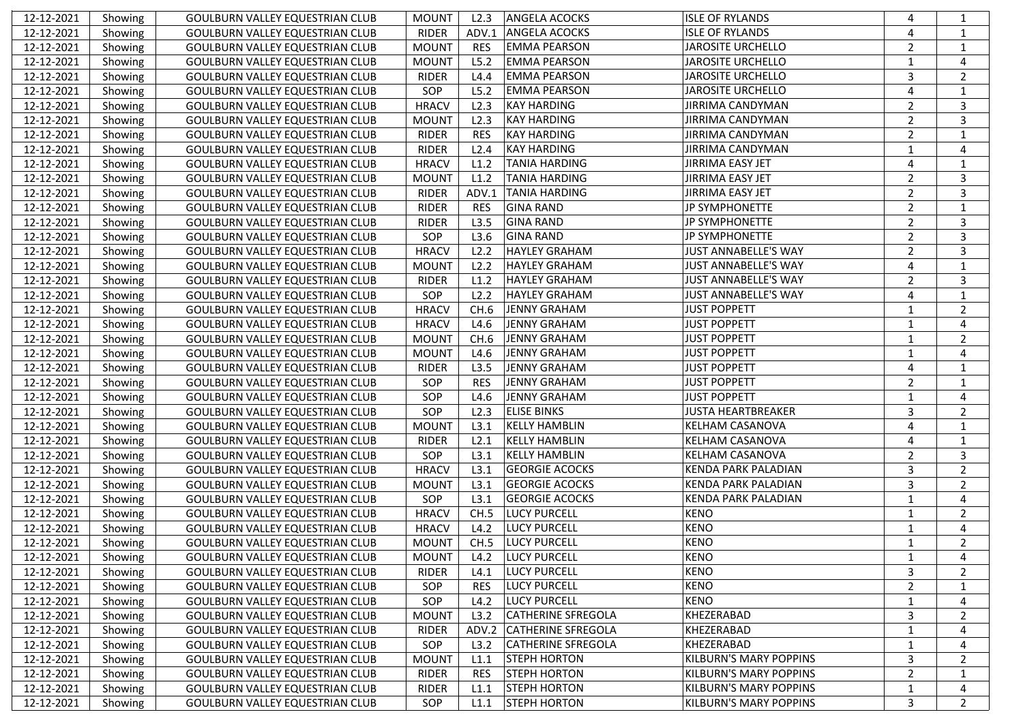| 12-12-2021 | Showing | <b>GOULBURN VALLEY EQUESTRIAN CLUB</b> | <b>MOUNT</b> | L2.3       | <b>ANGELA ACOCKS</b>      | <b>ISLE OF RYLANDS</b>        | $\overline{4}$ | 1              |
|------------|---------|----------------------------------------|--------------|------------|---------------------------|-------------------------------|----------------|----------------|
| 12-12-2021 | Showing | <b>GOULBURN VALLEY EQUESTRIAN CLUB</b> | <b>RIDER</b> | ADV.1      | <b>ANGELA ACOCKS</b>      | <b>ISLE OF RYLANDS</b>        | $\overline{4}$ | 1              |
| 12-12-2021 | Showing | <b>GOULBURN VALLEY EQUESTRIAN CLUB</b> | <b>MOUNT</b> | <b>RES</b> | <b>EMMA PEARSON</b>       | <b>JAROSITE URCHELLO</b>      | $\overline{2}$ | $1\,$          |
| 12-12-2021 | Showing | <b>GOULBURN VALLEY EQUESTRIAN CLUB</b> | <b>MOUNT</b> | L5.2       | <b>EMMA PEARSON</b>       | <b>JAROSITE URCHELLO</b>      | $\mathbf{1}$   | $\overline{4}$ |
| 12-12-2021 | Showing | <b>GOULBURN VALLEY EQUESTRIAN CLUB</b> | <b>RIDER</b> | L4.4       | <b>EMMA PEARSON</b>       | <b>JAROSITE URCHELLO</b>      | 3              | $\overline{2}$ |
| 12-12-2021 | Showing | <b>GOULBURN VALLEY EQUESTRIAN CLUB</b> | SOP          | L5.2       | <b>EMMA PEARSON</b>       | <b>JAROSITE URCHELLO</b>      | $\overline{4}$ | 1              |
| 12-12-2021 | Showing | <b>GOULBURN VALLEY EQUESTRIAN CLUB</b> | <b>HRACV</b> | L2.3       | <b>KAY HARDING</b>        | <b>JIRRIMA CANDYMAN</b>       | $\overline{2}$ | 3              |
| 12-12-2021 | Showing | <b>GOULBURN VALLEY EQUESTRIAN CLUB</b> | <b>MOUNT</b> | L2.3       | <b>KAY HARDING</b>        | <b>JIRRIMA CANDYMAN</b>       | $\overline{2}$ | 3              |
| 12-12-2021 | Showing | <b>GOULBURN VALLEY EQUESTRIAN CLUB</b> | <b>RIDER</b> | <b>RES</b> | <b>KAY HARDING</b>        | <b>JIRRIMA CANDYMAN</b>       | $\overline{2}$ | $\mathbf{1}$   |
| 12-12-2021 | Showing | <b>GOULBURN VALLEY EQUESTRIAN CLUB</b> | <b>RIDER</b> | L2.4       | <b>KAY HARDING</b>        | JIRRIMA CANDYMAN              | $\mathbf{1}$   | $\overline{4}$ |
| 12-12-2021 | Showing | <b>GOULBURN VALLEY EQUESTRIAN CLUB</b> | <b>HRACV</b> | L1.2       | <b>TANIA HARDING</b>      | <b>JIRRIMA EASY JET</b>       | $\overline{4}$ | 1              |
| 12-12-2021 | Showing | <b>GOULBURN VALLEY EQUESTRIAN CLUB</b> | <b>MOUNT</b> | L1.2       | <b>TANIA HARDING</b>      | <b>JIRRIMA EASY JET</b>       | $\overline{2}$ | 3              |
| 12-12-2021 | Showing | <b>GOULBURN VALLEY EQUESTRIAN CLUB</b> | <b>RIDER</b> | ADV.1      | <b>TANIA HARDING</b>      | <b>JIRRIMA EASY JET</b>       | $\overline{2}$ | 3              |
| 12-12-2021 | Showing | <b>GOULBURN VALLEY EQUESTRIAN CLUB</b> | <b>RIDER</b> | <b>RES</b> | <b>GINA RAND</b>          | <b>JP SYMPHONETTE</b>         | $\overline{2}$ | 1              |
| 12-12-2021 | Showing | <b>GOULBURN VALLEY EQUESTRIAN CLUB</b> | <b>RIDER</b> | L3.5       | <b>GINA RAND</b>          | <b>JP SYMPHONETTE</b>         | $\overline{2}$ | 3              |
| 12-12-2021 | Showing | <b>GOULBURN VALLEY EQUESTRIAN CLUB</b> | SOP          | L3.6       | <b>GINA RAND</b>          | <b>JP SYMPHONETTE</b>         | $\overline{2}$ | 3              |
| 12-12-2021 | Showing | <b>GOULBURN VALLEY EQUESTRIAN CLUB</b> | <b>HRACV</b> | L2.2       | <b>HAYLEY GRAHAM</b>      | JUST ANNABELLE'S WAY          | $\overline{2}$ | 3              |
| 12-12-2021 | Showing | <b>GOULBURN VALLEY EQUESTRIAN CLUB</b> | <b>MOUNT</b> | L2.2       | <b>HAYLEY GRAHAM</b>      | JUST ANNABELLE'S WAY          | $\overline{4}$ | $\mathbf{1}$   |
| 12-12-2021 | Showing | <b>GOULBURN VALLEY EQUESTRIAN CLUB</b> | <b>RIDER</b> | L1.2       | <b>HAYLEY GRAHAM</b>      | JUST ANNABELLE'S WAY          | $\overline{2}$ | 3              |
| 12-12-2021 | Showing | <b>GOULBURN VALLEY EQUESTRIAN CLUB</b> | SOP          | L2.2       | <b>HAYLEY GRAHAM</b>      | JUST ANNABELLE'S WAY          | $\overline{4}$ | $\mathbf{1}$   |
| 12-12-2021 | Showing | <b>GOULBURN VALLEY EQUESTRIAN CLUB</b> | <b>HRACV</b> | CH.6       | <b>JENNY GRAHAM</b>       | <b>JUST POPPETT</b>           | $\mathbf{1}$   | 2              |
| 12-12-2021 | Showing | <b>GOULBURN VALLEY EQUESTRIAN CLUB</b> | <b>HRACV</b> | L4.6       | JENNY GRAHAM              | <b>JUST POPPETT</b>           | $\mathbf{1}$   | $\overline{4}$ |
| 12-12-2021 | Showing | <b>GOULBURN VALLEY EQUESTRIAN CLUB</b> | <b>MOUNT</b> | CH.6       | JENNY GRAHAM              | <b>JUST POPPETT</b>           | $\mathbf{1}$   | 2              |
| 12-12-2021 | Showing | <b>GOULBURN VALLEY EQUESTRIAN CLUB</b> | <b>MOUNT</b> | L4.6       | <b>JENNY GRAHAM</b>       | <b>JUST POPPETT</b>           | 1              | $\overline{4}$ |
| 12-12-2021 | Showing | <b>GOULBURN VALLEY EQUESTRIAN CLUB</b> | <b>RIDER</b> | L3.5       | <b>JENNY GRAHAM</b>       | <b>JUST POPPETT</b>           | $\overline{4}$ | 1              |
| 12-12-2021 | Showing | <b>GOULBURN VALLEY EQUESTRIAN CLUB</b> | SOP          | <b>RES</b> | JENNY GRAHAM              | <b>JUST POPPETT</b>           | $\overline{2}$ | 1              |
| 12-12-2021 | Showing | <b>GOULBURN VALLEY EQUESTRIAN CLUB</b> | SOP          | L4.6       | JENNY GRAHAM              | <b>JUST POPPETT</b>           | $\mathbf{1}$   | $\overline{4}$ |
| 12-12-2021 | Showing | <b>GOULBURN VALLEY EQUESTRIAN CLUB</b> | SOP          | L2.3       | <b>ELISE BINKS</b>        | <b>JUSTA HEARTBREAKER</b>     | 3              | $\overline{2}$ |
| 12-12-2021 | Showing | <b>GOULBURN VALLEY EQUESTRIAN CLUB</b> | <b>MOUNT</b> | L3.1       | <b>KELLY HAMBLIN</b>      | KELHAM CASANOVA               | $\overline{4}$ | 1              |
| 12-12-2021 | Showing | <b>GOULBURN VALLEY EQUESTRIAN CLUB</b> | <b>RIDER</b> | L2.1       | <b>KELLY HAMBLIN</b>      | KELHAM CASANOVA               | $\overline{4}$ | 1              |
| 12-12-2021 | Showing | <b>GOULBURN VALLEY EQUESTRIAN CLUB</b> | SOP          | L3.1       | <b>KELLY HAMBLIN</b>      | KELHAM CASANOVA               | $\overline{2}$ | 3              |
| 12-12-2021 | Showing | <b>GOULBURN VALLEY EQUESTRIAN CLUB</b> | <b>HRACV</b> | L3.1       | <b>GEORGIE ACOCKS</b>     | KENDA PARK PALADIAN           | 3              | $\overline{2}$ |
| 12-12-2021 | Showing | <b>GOULBURN VALLEY EQUESTRIAN CLUB</b> | <b>MOUNT</b> | L3.1       | <b>GEORGIE ACOCKS</b>     | KENDA PARK PALADIAN           | $\overline{3}$ | $\overline{2}$ |
| 12-12-2021 | Showing | <b>GOULBURN VALLEY EQUESTRIAN CLUB</b> | SOP          | L3.1       | <b>GEORGIE ACOCKS</b>     | <b>KENDA PARK PALADIAN</b>    | $\mathbf{1}$   | $\overline{4}$ |
| 12-12-2021 | Showing | <b>GOULBURN VALLEY EQUESTRIAN CLUB</b> | <b>HRACV</b> | CH.5       | <b>LUCY PURCELL</b>       | <b>KENO</b>                   | $\mathbf{1}$   | $\overline{2}$ |
| 12-12-2021 | Showing | <b>GOULBURN VALLEY EQUESTRIAN CLUB</b> | <b>HRACV</b> | L4.2       | <b>LUCY PURCELL</b>       | <b>KENO</b>                   | $\mathbf{1}$   | $\overline{4}$ |
| 12-12-2021 | Showing | <b>GOULBURN VALLEY EQUESTRIAN CLUB</b> | <b>MOUNT</b> | CH.5       | <b>LUCY PURCELL</b>       | <b>KENO</b>                   | $\mathbf{1}$   | 2              |
| 12-12-2021 | Showing | <b>GOULBURN VALLEY EQUESTRIAN CLUB</b> | <b>MOUNT</b> | L4.2       | <b>LUCY PURCELL</b>       | <b>KENO</b>                   | 1              | 4              |
| 12-12-2021 | Showing | <b>GOULBURN VALLEY EQUESTRIAN CLUB</b> | <b>RIDER</b> | L4.1       | <b>LUCY PURCELL</b>       | <b>KENO</b>                   | 3              | $\overline{2}$ |
| 12-12-2021 | Showing | <b>GOULBURN VALLEY EQUESTRIAN CLUB</b> | SOP          | <b>RES</b> | <b>LUCY PURCELL</b>       | <b>KENO</b>                   | $\overline{2}$ | $\mathbf{1}$   |
| 12-12-2021 | Showing | <b>GOULBURN VALLEY EQUESTRIAN CLUB</b> | SOP          | L4.2       | LUCY PURCELL              | <b>KENO</b>                   | $\mathbf{1}$   | 4              |
| 12-12-2021 | Showing | GOULBURN VALLEY EQUESTRIAN CLUB        | <b>MOUNT</b> | L3.2       | <b>CATHERINE SFREGOLA</b> | KHEZERABAD                    | 3              | 2              |
| 12-12-2021 | Showing | GOULBURN VALLEY EQUESTRIAN CLUB        | <b>RIDER</b> | ADV.2      | <b>CATHERINE SFREGOLA</b> | KHEZERABAD                    | 1              | 4              |
| 12-12-2021 | Showing | GOULBURN VALLEY EQUESTRIAN CLUB        | SOP          | L3.2       | <b>CATHERINE SFREGOLA</b> | KHEZERABAD                    | $\mathbf{1}$   | 4              |
| 12-12-2021 | Showing | GOULBURN VALLEY EQUESTRIAN CLUB        | <b>MOUNT</b> | L1.1       | <b>STEPH HORTON</b>       | <b>KILBURN'S MARY POPPINS</b> | 3              | $\overline{2}$ |
| 12-12-2021 | Showing | <b>GOULBURN VALLEY EQUESTRIAN CLUB</b> | RIDER        | <b>RES</b> | <b>STEPH HORTON</b>       | <b>KILBURN'S MARY POPPINS</b> | $\overline{2}$ | $\mathbf{1}$   |
| 12-12-2021 | Showing | <b>GOULBURN VALLEY EQUESTRIAN CLUB</b> | RIDER        | L1.1       | <b>STEPH HORTON</b>       | <b>KILBURN'S MARY POPPINS</b> | $\mathbf{1}$   | 4              |
| 12-12-2021 | Showing | <b>GOULBURN VALLEY EQUESTRIAN CLUB</b> | SOP          | L1.1       | <b>STEPH HORTON</b>       | KILBURN'S MARY POPPINS        | 3              | $\overline{2}$ |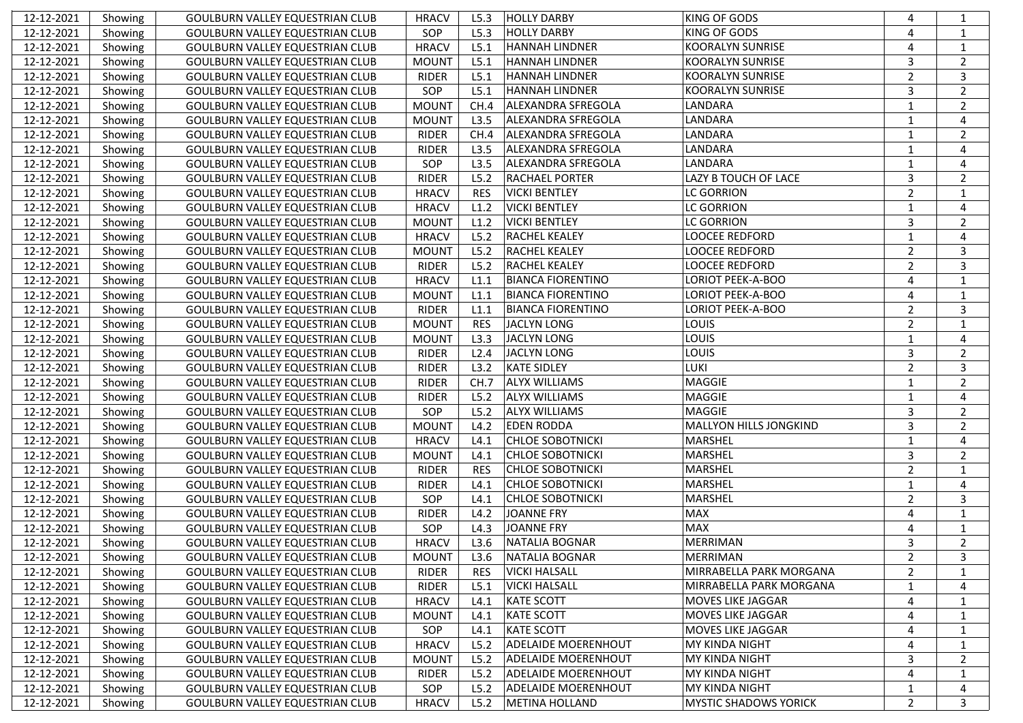| 12-12-2021 | Showing | <b>GOULBURN VALLEY EQUESTRIAN CLUB</b> | <b>HRACV</b> | L5.3       | <b>HOLLY DARBY</b>         | <b>KING OF GODS</b>          | $\overline{4}$          | 1              |
|------------|---------|----------------------------------------|--------------|------------|----------------------------|------------------------------|-------------------------|----------------|
| 12-12-2021 | Showing | <b>GOULBURN VALLEY EQUESTRIAN CLUB</b> | SOP          | L5.3       | <b>HOLLY DARBY</b>         | KING OF GODS                 | 4                       | 1              |
| 12-12-2021 | Showing | <b>GOULBURN VALLEY EQUESTRIAN CLUB</b> | <b>HRACV</b> | L5.1       | <b>HANNAH LINDNER</b>      | <b>KOORALYN SUNRISE</b>      | $\overline{a}$          | $1\,$          |
| 12-12-2021 | Showing | <b>GOULBURN VALLEY EQUESTRIAN CLUB</b> | <b>MOUNT</b> | L5.1       | <b>HANNAH LINDNER</b>      | <b>KOORALYN SUNRISE</b>      | $\overline{\mathbf{3}}$ | $\overline{2}$ |
| 12-12-2021 | Showing | <b>GOULBURN VALLEY EQUESTRIAN CLUB</b> | <b>RIDER</b> | L5.1       | <b>HANNAH LINDNER</b>      | <b>KOORALYN SUNRISE</b>      | $\overline{2}$          | 3              |
| 12-12-2021 | Showing | <b>GOULBURN VALLEY EQUESTRIAN CLUB</b> | SOP          | L5.1       | <b>HANNAH LINDNER</b>      | <b>KOORALYN SUNRISE</b>      | 3                       | $\overline{2}$ |
| 12-12-2021 | Showing | <b>GOULBURN VALLEY EQUESTRIAN CLUB</b> | <b>MOUNT</b> | CH.4       | <b>ALEXANDRA SFREGOLA</b>  | LANDARA                      | $\mathbf{1}$            | 2              |
| 12-12-2021 | Showing | <b>GOULBURN VALLEY EQUESTRIAN CLUB</b> | <b>MOUNT</b> | L3.5       | <b>ALEXANDRA SFREGOLA</b>  | LANDARA                      | $\mathbf{1}$            | $\overline{4}$ |
| 12-12-2021 | Showing | <b>GOULBURN VALLEY EQUESTRIAN CLUB</b> | <b>RIDER</b> | CH.4       | <b>ALEXANDRA SFREGOLA</b>  | LANDARA                      | $\mathbf{1}$            | $\overline{2}$ |
| 12-12-2021 | Showing | <b>GOULBURN VALLEY EQUESTRIAN CLUB</b> | <b>RIDER</b> | L3.5       | <b>ALEXANDRA SFREGOLA</b>  | LANDARA                      | $\mathbf{1}$            | $\overline{4}$ |
| 12-12-2021 | Showing | <b>GOULBURN VALLEY EQUESTRIAN CLUB</b> | SOP          | L3.5       | <b>ALEXANDRA SFREGOLA</b>  | LANDARA                      | $\mathbf{1}$            | $\overline{4}$ |
| 12-12-2021 | Showing | <b>GOULBURN VALLEY EQUESTRIAN CLUB</b> | <b>RIDER</b> | L5.2       | <b>RACHAEL PORTER</b>      | LAZY B TOUCH OF LACE         | $\mathbf{3}$            | $\overline{2}$ |
| 12-12-2021 | Showing | <b>GOULBURN VALLEY EQUESTRIAN CLUB</b> | <b>HRACV</b> | <b>RES</b> | <b>VICKI BENTLEY</b>       | <b>LC GORRION</b>            | $\overline{2}$          | 1              |
| 12-12-2021 | Showing | <b>GOULBURN VALLEY EQUESTRIAN CLUB</b> | <b>HRACV</b> | L1.2       | <b>VICKI BENTLEY</b>       | <b>LC GORRION</b>            | $\mathbf{1}$            | $\overline{4}$ |
| 12-12-2021 | Showing | <b>GOULBURN VALLEY EQUESTRIAN CLUB</b> | <b>MOUNT</b> | L1.2       | <b>VICKI BENTLEY</b>       | <b>LC GORRION</b>            | $\overline{3}$          | $\overline{2}$ |
| 12-12-2021 | Showing | <b>GOULBURN VALLEY EQUESTRIAN CLUB</b> | <b>HRACV</b> | L5.2       | <b>RACHEL KEALEY</b>       | LOOCEE REDFORD               | $\mathbf{1}$            | $\overline{4}$ |
| 12-12-2021 | Showing | <b>GOULBURN VALLEY EQUESTRIAN CLUB</b> | <b>MOUNT</b> | L5.2       | <b>RACHEL KEALEY</b>       | <b>LOOCEE REDFORD</b>        | $\overline{2}$          | 3              |
| 12-12-2021 | Showing | <b>GOULBURN VALLEY EQUESTRIAN CLUB</b> | <b>RIDER</b> | L5.2       | <b>RACHEL KEALEY</b>       | LOOCEE REDFORD               | $\overline{2}$          | 3              |
| 12-12-2021 | Showing | GOULBURN VALLEY EQUESTRIAN CLUB        | <b>HRACV</b> | L1.1       | <b>BIANCA FIORENTINO</b>   | <b>LORIOT PEEK-A-BOO</b>     | $\overline{4}$          | 1              |
| 12-12-2021 | Showing | GOULBURN VALLEY EQUESTRIAN CLUB        | <b>MOUNT</b> | L1.1       | <b>BIANCA FIORENTINO</b>   | <b>LORIOT PEEK-A-BOO</b>     | $\overline{4}$          | 1              |
| 12-12-2021 | Showing | <b>GOULBURN VALLEY EQUESTRIAN CLUB</b> | <b>RIDER</b> | L1.1       | <b>BIANCA FIORENTINO</b>   | <b>LORIOT PEEK-A-BOO</b>     | $\overline{2}$          | 3              |
| 12-12-2021 | Showing | <b>GOULBURN VALLEY EQUESTRIAN CLUB</b> | <b>MOUNT</b> | <b>RES</b> | JACLYN LONG                | LOUIS                        | $\overline{2}$          | 1              |
| 12-12-2021 | Showing | <b>GOULBURN VALLEY EQUESTRIAN CLUB</b> | <b>MOUNT</b> | L3.3       | JACLYN LONG                | LOUIS                        | $\mathbf{1}$            | $\overline{4}$ |
| 12-12-2021 | Showing | <b>GOULBURN VALLEY EQUESTRIAN CLUB</b> | <b>RIDER</b> | L2.4       | JACLYN LONG                | LOUIS                        | 3                       | 2              |
| 12-12-2021 | Showing | <b>GOULBURN VALLEY EQUESTRIAN CLUB</b> | <b>RIDER</b> | L3.2       | <b>KATE SIDLEY</b>         | LUKI                         | $\overline{2}$          | 3              |
| 12-12-2021 | Showing | <b>GOULBURN VALLEY EQUESTRIAN CLUB</b> | <b>RIDER</b> | CH.7       | <b>ALYX WILLIAMS</b>       | MAGGIE                       | 1                       | 2              |
| 12-12-2021 | Showing | <b>GOULBURN VALLEY EQUESTRIAN CLUB</b> | <b>RIDER</b> | L5.2       | <b>ALYX WILLIAMS</b>       | MAGGIE                       | $\mathbf{1}$            | $\overline{4}$ |
| 12-12-2021 | Showing | <b>GOULBURN VALLEY EQUESTRIAN CLUB</b> | SOP          | L5.2       | <b>ALYX WILLIAMS</b>       | MAGGIE                       | $\mathbf{3}$            | $\overline{2}$ |
| 12-12-2021 | Showing | <b>GOULBURN VALLEY EQUESTRIAN CLUB</b> | <b>MOUNT</b> | L4.2       | <b>EDEN RODDA</b>          | MALLYON HILLS JONGKIND       | 3                       | 2              |
| 12-12-2021 | Showing | <b>GOULBURN VALLEY EQUESTRIAN CLUB</b> | <b>HRACV</b> | L4.1       | <b>CHLOE SOBOTNICKI</b>    | MARSHEL                      | $\mathbf{1}$            | $\overline{4}$ |
| 12-12-2021 | Showing | <b>GOULBURN VALLEY EQUESTRIAN CLUB</b> | <b>MOUNT</b> | L4.1       | <b>CHLOE SOBOTNICKI</b>    | MARSHEL                      | 3                       | 2              |
| 12-12-2021 | Showing | <b>GOULBURN VALLEY EQUESTRIAN CLUB</b> | <b>RIDER</b> | <b>RES</b> | <b>CHLOE SOBOTNICKI</b>    | MARSHEL                      | $\overline{2}$          | 1              |
| 12-12-2021 | Showing | <b>GOULBURN VALLEY EQUESTRIAN CLUB</b> | <b>RIDER</b> | L4.1       | <b>CHLOE SOBOTNICKI</b>    | <b>MARSHEL</b>               | $\mathbf{1}$            | $\overline{4}$ |
| 12-12-2021 | Showing | <b>GOULBURN VALLEY EQUESTRIAN CLUB</b> | SOP          | L4.1       | <b>CHLOE SOBOTNICKI</b>    | <b>MARSHEL</b>               | $\overline{2}$          | 3              |
| 12-12-2021 | Showing | <b>GOULBURN VALLEY EQUESTRIAN CLUB</b> | <b>RIDER</b> | L4.2       | JOANNE FRY                 | <b>MAX</b>                   | $\overline{4}$          | 1              |
| 12-12-2021 | Showing | <b>GOULBURN VALLEY EQUESTRIAN CLUB</b> | SOP          | L4.3       | JOANNE FRY                 | <b>MAX</b>                   | $\overline{4}$          | 1              |
| 12-12-2021 | Showing | <b>GOULBURN VALLEY EQUESTRIAN CLUB</b> | <b>HRACV</b> | L3.6       | NATALIA BOGNAR             | MERRIMAN                     | 3                       | 2              |
| 12-12-2021 | Showing | GOULBURN VALLEY EQUESTRIAN CLUB        | <b>MOUNT</b> | L3.6       | NATALIA BOGNAR             | <b>MERRIMAN</b>              | $\overline{2}$          | 3              |
| 12-12-2021 | Showing | <b>GOULBURN VALLEY EQUESTRIAN CLUB</b> | RIDER        | <b>RES</b> | <b>VICKI HALSALL</b>       | MIRRABELLA PARK MORGANA      | $\overline{2}$          | $\mathbf{1}$   |
| 12-12-2021 | Showing | <b>GOULBURN VALLEY EQUESTRIAN CLUB</b> | RIDER        | L5.1       | <b>VICKI HALSALL</b>       | MIRRABELLA PARK MORGANA      | 1                       | 4              |
| 12-12-2021 | Showing | <b>GOULBURN VALLEY EQUESTRIAN CLUB</b> | <b>HRACV</b> | L4.1       | <b>KATE SCOTT</b>          | <b>MOVES LIKE JAGGAR</b>     | 4                       | 1              |
| 12-12-2021 | Showing | <b>GOULBURN VALLEY EQUESTRIAN CLUB</b> | <b>MOUNT</b> | L4.1       | <b>KATE SCOTT</b>          | <b>MOVES LIKE JAGGAR</b>     | 4                       | 1              |
| 12-12-2021 | Showing | GOULBURN VALLEY EQUESTRIAN CLUB        | SOP          | L4.1       | <b>KATE SCOTT</b>          | <b>MOVES LIKE JAGGAR</b>     | 4                       | 1              |
| 12-12-2021 | Showing | GOULBURN VALLEY EQUESTRIAN CLUB        | <b>HRACV</b> | L5.2       | <b>ADELAIDE MOERENHOUT</b> | MY KINDA NIGHT               | 4                       | 1              |
| 12-12-2021 | Showing | <b>GOULBURN VALLEY EQUESTRIAN CLUB</b> | <b>MOUNT</b> | L5.2       | <b>ADELAIDE MOERENHOUT</b> | MY KINDA NIGHT               | 3                       | $\overline{2}$ |
| 12-12-2021 | Showing | <b>GOULBURN VALLEY EQUESTRIAN CLUB</b> | RIDER        | L5.2       | <b>ADELAIDE MOERENHOUT</b> | MY KINDA NIGHT               | 4                       | 1              |
| 12-12-2021 | Showing | <b>GOULBURN VALLEY EQUESTRIAN CLUB</b> | SOP          | L5.2       | <b>ADELAIDE MOERENHOUT</b> | <b>MY KINDA NIGHT</b>        | 1                       | 4              |
| 12-12-2021 | Showing | <b>GOULBURN VALLEY EQUESTRIAN CLUB</b> | <b>HRACV</b> | L5.2       | <b>METINA HOLLAND</b>      | <b>MYSTIC SHADOWS YORICK</b> | 2                       | 3              |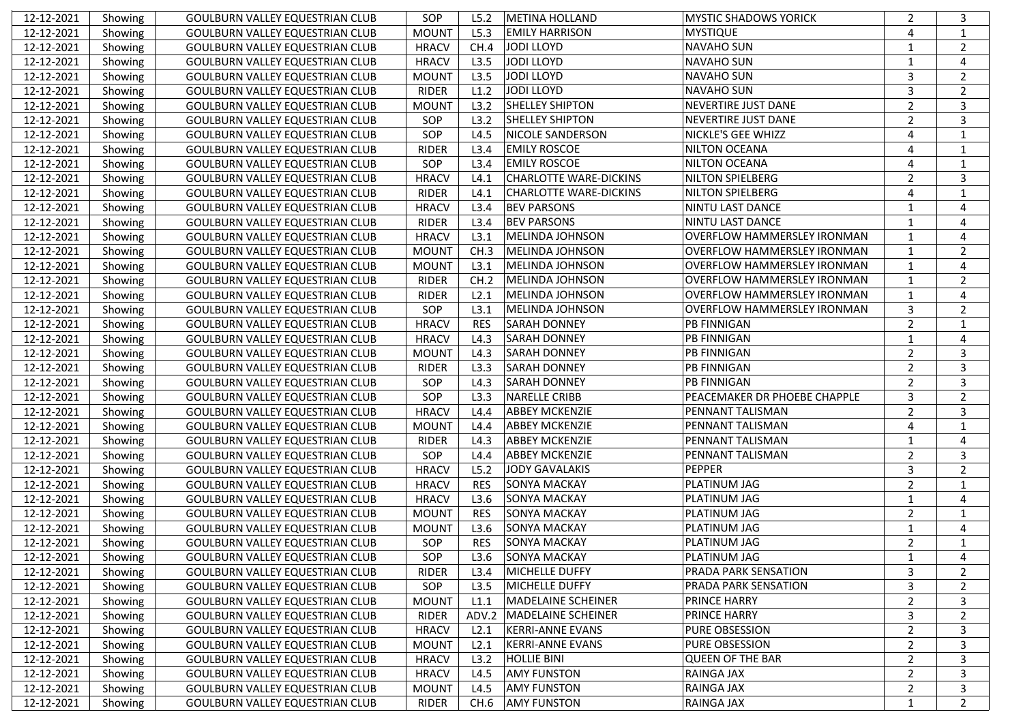| 12-12-2021 | Showing | <b>GOULBURN VALLEY EQUESTRIAN CLUB</b> | SOP          | L5.2       | <b>METINA HOLLAND</b>         | <b>MYSTIC SHADOWS YORICK</b>       | 2              | 3              |
|------------|---------|----------------------------------------|--------------|------------|-------------------------------|------------------------------------|----------------|----------------|
| 12-12-2021 | Showing | <b>GOULBURN VALLEY EQUESTRIAN CLUB</b> | <b>MOUNT</b> | L5.3       | <b>EMILY HARRISON</b>         | <b>MYSTIQUE</b>                    | $\overline{4}$ | 1              |
| 12-12-2021 | Showing | <b>GOULBURN VALLEY EQUESTRIAN CLUB</b> | <b>HRACV</b> | CH.4       | <b>JODI LLOYD</b>             | <b>NAVAHO SUN</b>                  | $\mathbf{1}$   | $\overline{2}$ |
| 12-12-2021 | Showing | <b>GOULBURN VALLEY EQUESTRIAN CLUB</b> | <b>HRACV</b> | L3.5       | <b>JODI LLOYD</b>             | <b>NAVAHO SUN</b>                  | $\mathbf{1}$   | $\overline{4}$ |
| 12-12-2021 | Showing | GOULBURN VALLEY EQUESTRIAN CLUB        | <b>MOUNT</b> | L3.5       | <b>JODI LLOYD</b>             | <b>NAVAHO SUN</b>                  | $\overline{3}$ | 2              |
| 12-12-2021 | Showing | <b>GOULBURN VALLEY EQUESTRIAN CLUB</b> | <b>RIDER</b> | L1.2       | <b>JODI LLOYD</b>             | <b>NAVAHO SUN</b>                  | 3              | 2              |
| 12-12-2021 | Showing | GOULBURN VALLEY EQUESTRIAN CLUB        | <b>MOUNT</b> | L3.2       | <b>SHELLEY SHIPTON</b>        | <b>NEVERTIRE JUST DANE</b>         | $\overline{2}$ | 3              |
| 12-12-2021 | Showing | GOULBURN VALLEY EQUESTRIAN CLUB        | SOP          | L3.2       | <b>SHELLEY SHIPTON</b>        | NEVERTIRE JUST DANE                | $\overline{2}$ | 3              |
| 12-12-2021 | Showing | GOULBURN VALLEY EQUESTRIAN CLUB        | SOP          | L4.5       | NICOLE SANDERSON              | NICKLE'S GEE WHIZZ                 | $\overline{4}$ | 1              |
| 12-12-2021 | Showing | <b>GOULBURN VALLEY EQUESTRIAN CLUB</b> | <b>RIDER</b> | L3.4       | <b>EMILY ROSCOE</b>           | <b>NILTON OCEANA</b>               | $\overline{4}$ | 1              |
| 12-12-2021 | Showing | GOULBURN VALLEY EQUESTRIAN CLUB        | SOP          | L3.4       | <b>EMILY ROSCOE</b>           | <b>NILTON OCEANA</b>               | $\overline{4}$ | 1              |
| 12-12-2021 | Showing | GOULBURN VALLEY EQUESTRIAN CLUB        | <b>HRACV</b> | L4.1       | <b>CHARLOTTE WARE-DICKINS</b> | NILTON SPIELBERG                   | 2              | 3              |
| 12-12-2021 | Showing | GOULBURN VALLEY EQUESTRIAN CLUB        | <b>RIDER</b> | L4.1       | <b>CHARLOTTE WARE-DICKINS</b> | NILTON SPIELBERG                   | $\overline{4}$ | 1              |
| 12-12-2021 | Showing | GOULBURN VALLEY EQUESTRIAN CLUB        | <b>HRACV</b> | L3.4       | <b>BEV PARSONS</b>            | NINTU LAST DANCE                   | $\mathbf{1}$   | $\overline{4}$ |
| 12-12-2021 | Showing | GOULBURN VALLEY EQUESTRIAN CLUB        | <b>RIDER</b> | L3.4       | <b>BEV PARSONS</b>            | NINTU LAST DANCE                   | $\mathbf{1}$   | $\overline{4}$ |
| 12-12-2021 | Showing | GOULBURN VALLEY EQUESTRIAN CLUB        | <b>HRACV</b> | L3.1       | MELINDA JOHNSON               | <b>OVERFLOW HAMMERSLEY IRONMAN</b> | $\mathbf{1}$   | 4              |
| 12-12-2021 | Showing | GOULBURN VALLEY EQUESTRIAN CLUB        | <b>MOUNT</b> | CH.3       | <b>MELINDA JOHNSON</b>        | <b>OVERFLOW HAMMERSLEY IRONMAN</b> | $\mathbf{1}$   | 2              |
| 12-12-2021 | Showing | GOULBURN VALLEY EQUESTRIAN CLUB        | <b>MOUNT</b> | L3.1       | MELINDA JOHNSON               | <b>OVERFLOW HAMMERSLEY IRONMAN</b> | $\mathbf{1}$   | 4              |
| 12-12-2021 | Showing | GOULBURN VALLEY EQUESTRIAN CLUB        | <b>RIDER</b> | CH.2       | MELINDA JOHNSON               | <b>OVERFLOW HAMMERSLEY IRONMAN</b> | $\mathbf{1}$   | 2              |
| 12-12-2021 | Showing | <b>GOULBURN VALLEY EQUESTRIAN CLUB</b> | <b>RIDER</b> | L2.1       | MELINDA JOHNSON               | <b>OVERFLOW HAMMERSLEY IRONMAN</b> | $\mathbf{1}$   | 4              |
| 12-12-2021 | Showing | GOULBURN VALLEY EQUESTRIAN CLUB        | SOP          | L3.1       | MELINDA JOHNSON               | <b>OVERFLOW HAMMERSLEY IRONMAN</b> | $\mathbf{3}$   | 2              |
| 12-12-2021 | Showing | GOULBURN VALLEY EQUESTRIAN CLUB        | <b>HRACV</b> | <b>RES</b> | <b>SARAH DONNEY</b>           | <b>PB FINNIGAN</b>                 | $\overline{2}$ | 1              |
| 12-12-2021 | Showing | GOULBURN VALLEY EQUESTRIAN CLUB        | <b>HRACV</b> | L4.3       | <b>SARAH DONNEY</b>           | <b>PB FINNIGAN</b>                 | $\mathbf{1}$   | $\overline{4}$ |
| 12-12-2021 | Showing | GOULBURN VALLEY EQUESTRIAN CLUB        | <b>MOUNT</b> | L4.3       | <b>SARAH DONNEY</b>           | <b>PB FINNIGAN</b>                 | $\overline{2}$ | 3              |
| 12-12-2021 | Showing | GOULBURN VALLEY EQUESTRIAN CLUB        | <b>RIDER</b> | L3.3       | <b>SARAH DONNEY</b>           | <b>PB FINNIGAN</b>                 | $\overline{2}$ | 3              |
| 12-12-2021 | Showing | <b>GOULBURN VALLEY EQUESTRIAN CLUB</b> | SOP          | L4.3       | <b>SARAH DONNEY</b>           | <b>PB FINNIGAN</b>                 | $\overline{2}$ | 3              |
| 12-12-2021 | Showing | <b>GOULBURN VALLEY EQUESTRIAN CLUB</b> | SOP          | L3.3       | <b>NARELLE CRIBB</b>          | PEACEMAKER DR PHOEBE CHAPPLE       | $\overline{3}$ | $\overline{2}$ |
| 12-12-2021 | Showing | <b>GOULBURN VALLEY EQUESTRIAN CLUB</b> | <b>HRACV</b> | L4.4       | <b>ABBEY MCKENZIE</b>         | PENNANT TALISMAN                   | $\overline{2}$ | 3              |
| 12-12-2021 | Showing | <b>GOULBURN VALLEY EQUESTRIAN CLUB</b> | <b>MOUNT</b> | L4.4       | <b>ABBEY MCKENZIE</b>         | PENNANT TALISMAN                   | $\overline{4}$ | 1              |
| 12-12-2021 | Showing | <b>GOULBURN VALLEY EQUESTRIAN CLUB</b> | <b>RIDER</b> | L4.3       | <b>ABBEY MCKENZIE</b>         | PENNANT TALISMAN                   | $\mathbf{1}$   | 4              |
| 12-12-2021 | Showing | <b>GOULBURN VALLEY EQUESTRIAN CLUB</b> | SOP          | L4.4       | <b>ABBEY MCKENZIE</b>         | PENNANT TALISMAN                   | $\overline{2}$ | 3              |
| 12-12-2021 | Showing | <b>GOULBURN VALLEY EQUESTRIAN CLUB</b> | <b>HRACV</b> | L5.2       | <b>JODY GAVALAKIS</b>         | <b>PEPPER</b>                      | 3              | 2              |
| 12-12-2021 | Showing | <b>GOULBURN VALLEY EQUESTRIAN CLUB</b> | <b>HRACV</b> | <b>RES</b> | <b>SONYA MACKAY</b>           | PLATINUM JAG                       | $\overline{2}$ | $\mathbf{1}$   |
| 12-12-2021 | Showing | <b>GOULBURN VALLEY EQUESTRIAN CLUB</b> | <b>HRACV</b> | L3.6       | <b>SONYA MACKAY</b>           | PLATINUM JAG                       | $\mathbf{1}$   | $\overline{4}$ |
| 12-12-2021 | Showing | <b>GOULBURN VALLEY EQUESTRIAN CLUB</b> | <b>MOUNT</b> | <b>RES</b> | <b>SONYA MACKAY</b>           | PLATINUM JAG                       | $\overline{2}$ | 1              |
| 12-12-2021 | Showing | <b>GOULBURN VALLEY EQUESTRIAN CLUB</b> | <b>MOUNT</b> | L3.6       | <b>SONYA MACKAY</b>           | PLATINUM JAG                       | $\mathbf{1}$   | 4              |
| 12-12-2021 | Showing | <b>GOULBURN VALLEY EQUESTRIAN CLUB</b> | SOP          | <b>RES</b> | <b>SONYA MACKAY</b>           | PLATINUM JAG                       | 2              | $\mathbf{1}$   |
| 12-12-2021 | Showing | GOULBURN VALLEY EQUESTRIAN CLUB        | SOP          | L3.6       | SONYA MACKAY                  | PLATINUM JAG                       | $\mathbf{1}$   | 4              |
| 12-12-2021 | Showing | <b>GOULBURN VALLEY EQUESTRIAN CLUB</b> | <b>RIDER</b> | L3.4       | <b>MICHELLE DUFFY</b>         | <b>PRADA PARK SENSATION</b>        | 3              | $\overline{2}$ |
| 12-12-2021 | Showing | <b>GOULBURN VALLEY EQUESTRIAN CLUB</b> | SOP          | L3.5       | MICHELLE DUFFY                | PRADA PARK SENSATION               | 3              | 2              |
| 12-12-2021 | Showing | <b>GOULBURN VALLEY EQUESTRIAN CLUB</b> | <b>MOUNT</b> | L1.1       | <b>MADELAINE SCHEINER</b>     | PRINCE HARRY                       | $\overline{2}$ | 3              |
| 12-12-2021 | Showing | <b>GOULBURN VALLEY EQUESTRIAN CLUB</b> | <b>RIDER</b> | ADV.2      | MADELAINE SCHEINER            | PRINCE HARRY                       | 3              | 2              |
| 12-12-2021 | Showing | GOULBURN VALLEY EQUESTRIAN CLUB        | <b>HRACV</b> | L2.1       | <b>KERRI-ANNE EVANS</b>       | PURE OBSESSION                     | $\overline{2}$ | 3              |
| 12-12-2021 | Showing | GOULBURN VALLEY EQUESTRIAN CLUB        | <b>MOUNT</b> | L2.1       | <b>KERRI-ANNE EVANS</b>       | PURE OBSESSION                     | $\overline{2}$ | 3              |
| 12-12-2021 | Showing | GOULBURN VALLEY EQUESTRIAN CLUB        | <b>HRACV</b> | L3.2       | <b>HOLLIE BINI</b>            | <b>QUEEN OF THE BAR</b>            | $\overline{2}$ | 3              |
| 12-12-2021 | Showing | <b>GOULBURN VALLEY EQUESTRIAN CLUB</b> | <b>HRACV</b> | L4.5       | <b>AMY FUNSTON</b>            | RAINGA JAX                         | $\overline{2}$ | 3              |
| 12-12-2021 | Showing | GOULBURN VALLEY EQUESTRIAN CLUB        | <b>MOUNT</b> | L4.5       | <b>AMY FUNSTON</b>            | RAINGA JAX                         | $\overline{2}$ | 3              |
| 12-12-2021 | Showing | <b>GOULBURN VALLEY EQUESTRIAN CLUB</b> | <b>RIDER</b> | CH.6       | <b>AMY FUNSTON</b>            | RAINGA JAX                         | 1              | $\overline{2}$ |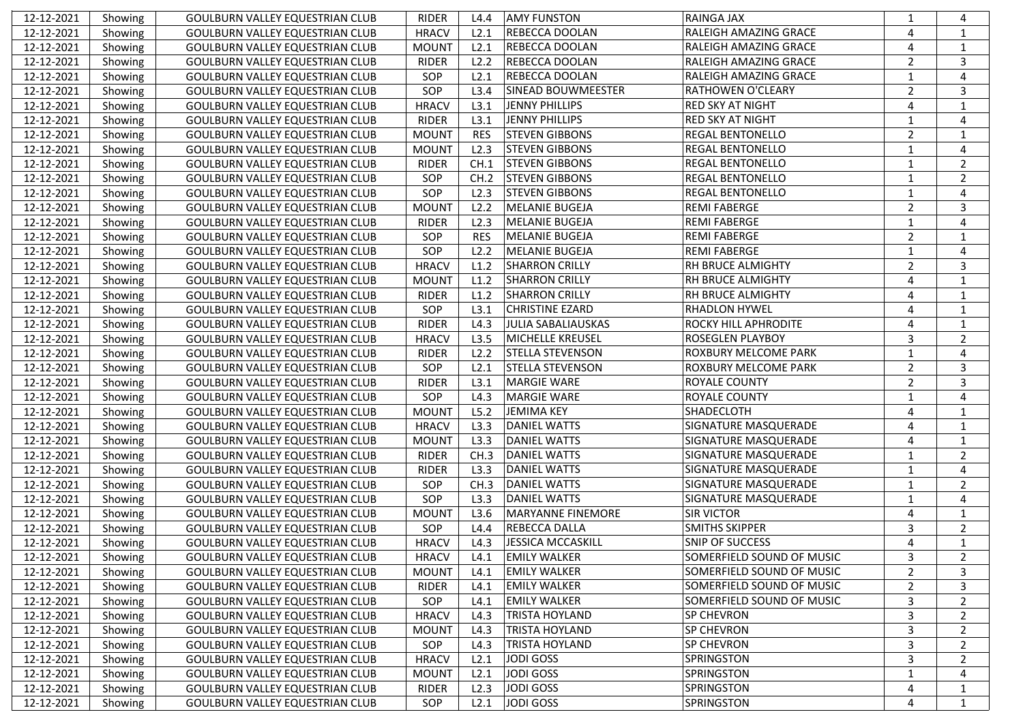| 12-12-2021 | Showing | GOULBURN VALLEY EQUESTRIAN CLUB        | <b>RIDER</b> | L4.4       | <b>AMY FUNSTON</b>        | <b>RAINGA JAX</b>           | 1              | $\boldsymbol{\Delta}$ |
|------------|---------|----------------------------------------|--------------|------------|---------------------------|-----------------------------|----------------|-----------------------|
| 12-12-2021 | Showing | <b>GOULBURN VALLEY EQUESTRIAN CLUB</b> | <b>HRACV</b> | L2.1       | <b>REBECCA DOOLAN</b>     | RALEIGH AMAZING GRACE       | $\overline{4}$ | 1                     |
| 12-12-2021 | Showing | <b>GOULBURN VALLEY EQUESTRIAN CLUB</b> | <b>MOUNT</b> | L2.1       | <b>REBECCA DOOLAN</b>     | RALEIGH AMAZING GRACE       | $\overline{4}$ | 1                     |
| 12-12-2021 | Showing | <b>GOULBURN VALLEY EQUESTRIAN CLUB</b> | <b>RIDER</b> | L2.2       | <b>REBECCA DOOLAN</b>     | RALEIGH AMAZING GRACE       | $\overline{2}$ | 3                     |
| 12-12-2021 | Showing | <b>GOULBURN VALLEY EQUESTRIAN CLUB</b> | SOP          | L2.1       | REBECCA DOOLAN            | RALEIGH AMAZING GRACE       | $\mathbf{1}$   | 4                     |
| 12-12-2021 | Showing | <b>GOULBURN VALLEY EQUESTRIAN CLUB</b> | SOP          | L3.4       | <b>SINEAD BOUWMEESTER</b> | <b>RATHOWEN O'CLEARY</b>    | $\overline{2}$ | 3                     |
| 12-12-2021 | Showing | <b>GOULBURN VALLEY EQUESTRIAN CLUB</b> | <b>HRACV</b> | L3.1       | JENNY PHILLIPS            | <b>RED SKY AT NIGHT</b>     | $\overline{4}$ | 1                     |
| 12-12-2021 | Showing | <b>GOULBURN VALLEY EQUESTRIAN CLUB</b> | <b>RIDER</b> | L3.1       | JENNY PHILLIPS            | <b>RED SKY AT NIGHT</b>     | $\mathbf{1}$   | $\overline{4}$        |
| 12-12-2021 | Showing | <b>GOULBURN VALLEY EQUESTRIAN CLUB</b> | <b>MOUNT</b> | <b>RES</b> | <b>STEVEN GIBBONS</b>     | <b>REGAL BENTONELLO</b>     | $\overline{2}$ | 1                     |
| 12-12-2021 | Showing | <b>GOULBURN VALLEY EQUESTRIAN CLUB</b> | <b>MOUNT</b> | L2.3       | <b>STEVEN GIBBONS</b>     | <b>REGAL BENTONELLO</b>     | $\mathbf{1}$   | $\overline{4}$        |
| 12-12-2021 | Showing | <b>GOULBURN VALLEY EQUESTRIAN CLUB</b> | <b>RIDER</b> | CH.1       | <b>STEVEN GIBBONS</b>     | <b>REGAL BENTONELLO</b>     | $\mathbf{1}$   | 2                     |
| 12-12-2021 | Showing | <b>GOULBURN VALLEY EQUESTRIAN CLUB</b> | SOP          | CH.2       | <b>STEVEN GIBBONS</b>     | <b>REGAL BENTONELLO</b>     | $\mathbf{1}$   | 2                     |
| 12-12-2021 | Showing | <b>GOULBURN VALLEY EQUESTRIAN CLUB</b> | SOP          | L2.3       | <b>STEVEN GIBBONS</b>     | <b>REGAL BENTONELLO</b>     | $\mathbf{1}$   | $\overline{4}$        |
| 12-12-2021 | Showing | <b>GOULBURN VALLEY EQUESTRIAN CLUB</b> | <b>MOUNT</b> | L2.2       | <b>MELANIE BUGEJA</b>     | <b>REMI FABERGE</b>         | $\overline{2}$ | 3                     |
| 12-12-2021 | Showing | <b>GOULBURN VALLEY EQUESTRIAN CLUB</b> | <b>RIDER</b> | L2.3       | <b>MELANIE BUGEJA</b>     | <b>REMI FABERGE</b>         | $\mathbf{1}$   | $\overline{4}$        |
| 12-12-2021 | Showing | GOULBURN VALLEY EQUESTRIAN CLUB        | SOP          | <b>RES</b> | <b>MELANIE BUGEJA</b>     | <b>REMI FABERGE</b>         | $\overline{2}$ | 1                     |
| 12-12-2021 | Showing | <b>GOULBURN VALLEY EQUESTRIAN CLUB</b> | SOP          | L2.2       | <b>MELANIE BUGEJA</b>     | <b>REMI FABERGE</b>         | $\mathbf{1}$   | $\overline{4}$        |
| 12-12-2021 | Showing | <b>GOULBURN VALLEY EQUESTRIAN CLUB</b> | <b>HRACV</b> | L1.2       | <b>SHARRON CRILLY</b>     | <b>RH BRUCE ALMIGHTY</b>    | $\overline{2}$ | 3                     |
| 12-12-2021 | Showing | GOULBURN VALLEY EQUESTRIAN CLUB        | <b>MOUNT</b> | L1.2       | <b>SHARRON CRILLY</b>     | <b>RH BRUCE ALMIGHTY</b>    | $\overline{4}$ | $\mathbf{1}$          |
| 12-12-2021 | Showing | GOULBURN VALLEY EQUESTRIAN CLUB        | <b>RIDER</b> | L1.2       | <b>SHARRON CRILLY</b>     | <b>RH BRUCE ALMIGHTY</b>    | $\overline{4}$ | 1                     |
| 12-12-2021 | Showing | GOULBURN VALLEY EQUESTRIAN CLUB        | SOP          | L3.1       | <b>CHRISTINE EZARD</b>    | <b>RHADLON HYWEL</b>        | $\overline{4}$ | 1                     |
| 12-12-2021 | Showing | <b>GOULBURN VALLEY EQUESTRIAN CLUB</b> | <b>RIDER</b> | L4.3       | JULIA SABALIAUSKAS        | <b>ROCKY HILL APHRODITE</b> | $\overline{4}$ | 1                     |
| 12-12-2021 | Showing | <b>GOULBURN VALLEY EQUESTRIAN CLUB</b> | <b>HRACV</b> | L3.5       | MICHELLE KREUSEL          | <b>ROSEGLEN PLAYBOY</b>     | $\overline{3}$ | 2                     |
| 12-12-2021 | Showing | <b>GOULBURN VALLEY EQUESTRIAN CLUB</b> | <b>RIDER</b> | L2.2       | <b>STELLA STEVENSON</b>   | ROXBURY MELCOME PARK        | $\mathbf{1}$   | $\overline{4}$        |
| 12-12-2021 | Showing | GOULBURN VALLEY EQUESTRIAN CLUB        | SOP          | L2.1       | <b>STELLA STEVENSON</b>   | ROXBURY MELCOME PARK        | $\overline{2}$ | $\overline{3}$        |
| 12-12-2021 | Showing | GOULBURN VALLEY EQUESTRIAN CLUB        | <b>RIDER</b> | L3.1       | <b>MARGIE WARE</b>        | <b>ROYALE COUNTY</b>        | $\overline{2}$ | 3                     |
| 12-12-2021 | Showing | GOULBURN VALLEY EQUESTRIAN CLUB        | SOP          | L4.3       | <b>MARGIE WARE</b>        | <b>ROYALE COUNTY</b>        | $\mathbf{1}$   | $\overline{4}$        |
| 12-12-2021 | Showing | GOULBURN VALLEY EQUESTRIAN CLUB        | <b>MOUNT</b> | L5.2       | JEMIMA KEY                | SHADECLOTH                  | $\overline{4}$ | 1                     |
| 12-12-2021 | Showing | <b>GOULBURN VALLEY EQUESTRIAN CLUB</b> | <b>HRACV</b> | L3.3       | <b>DANIEL WATTS</b>       | SIGNATURE MASQUERADE        | $\overline{4}$ | 1                     |
| 12-12-2021 | Showing | <b>GOULBURN VALLEY EQUESTRIAN CLUB</b> | <b>MOUNT</b> | L3.3       | <b>DANIEL WATTS</b>       | SIGNATURE MASQUERADE        | $\overline{4}$ | 1                     |
| 12-12-2021 | Showing | <b>GOULBURN VALLEY EQUESTRIAN CLUB</b> | <b>RIDER</b> | CH.3       | <b>DANIEL WATTS</b>       | SIGNATURE MASQUERADE        | $\mathbf{1}$   | 2                     |
| 12-12-2021 | Showing | <b>GOULBURN VALLEY EQUESTRIAN CLUB</b> | <b>RIDER</b> | L3.3       | <b>DANIEL WATTS</b>       | SIGNATURE MASQUERADE        | $\mathbf{1}$   | $\overline{4}$        |
| 12-12-2021 | Showing | <b>GOULBURN VALLEY EQUESTRIAN CLUB</b> | SOP          | CH.3       | <b>DANIEL WATTS</b>       | SIGNATURE MASQUERADE        | $\mathbf{1}$   | 2                     |
| 12-12-2021 | Showing | <b>GOULBURN VALLEY EQUESTRIAN CLUB</b> | SOP          | L3.3       | <b>DANIEL WATTS</b>       | <b>SIGNATURE MASQUERADE</b> | $\mathbf{1}$   | $\overline{4}$        |
| 12-12-2021 | Showing | <b>GOULBURN VALLEY EQUESTRIAN CLUB</b> | <b>MOUNT</b> | L3.6       | <b>MARYANNE FINEMORE</b>  | <b>SIR VICTOR</b>           | $\overline{4}$ | 1                     |
| 12-12-2021 | Showing | <b>GOULBURN VALLEY EQUESTRIAN CLUB</b> | SOP          | L4.4       | <b>REBECCA DALLA</b>      | <b>SMITHS SKIPPER</b>       | 3              | 2                     |
| 12-12-2021 | Showing | <b>GOULBURN VALLEY EQUESTRIAN CLUB</b> | <b>HRACV</b> | L4.3       | <b>JESSICA MCCASKILL</b>  | <b>SNIP OF SUCCESS</b>      | 4              | 1                     |
| 12-12-2021 | Showing | <b>GOULBURN VALLEY EQUESTRIAN CLUB</b> | <b>HRACV</b> |            | L4.1 EMILY WALKER         | SOMERFIELD SOUND OF MUSIC   | 3              | 2                     |
| 12-12-2021 | Showing | <b>GOULBURN VALLEY EQUESTRIAN CLUB</b> | <b>MOUNT</b> | L4.1       | <b>EMILY WALKER</b>       | SOMERFIELD SOUND OF MUSIC   | $\overline{2}$ | 3                     |
| 12-12-2021 | Showing | <b>GOULBURN VALLEY EQUESTRIAN CLUB</b> | RIDER        | L4.1       | <b>EMILY WALKER</b>       | SOMERFIELD SOUND OF MUSIC   | 2              | 3                     |
| 12-12-2021 | Showing | <b>GOULBURN VALLEY EQUESTRIAN CLUB</b> | SOP          | L4.1       | <b>EMILY WALKER</b>       | SOMERFIELD SOUND OF MUSIC   | 3              | 2                     |
| 12-12-2021 | Showing | <b>GOULBURN VALLEY EQUESTRIAN CLUB</b> | <b>HRACV</b> | L4.3       | <b>TRISTA HOYLAND</b>     | SP CHEVRON                  | 3              | 2                     |
| 12-12-2021 | Showing | <b>GOULBURN VALLEY EQUESTRIAN CLUB</b> | <b>MOUNT</b> | L4.3       | <b>TRISTA HOYLAND</b>     | <b>SP CHEVRON</b>           | 3              | 2                     |
| 12-12-2021 | Showing | <b>GOULBURN VALLEY EQUESTRIAN CLUB</b> | SOP          | L4.3       | <b>TRISTA HOYLAND</b>     | SP CHEVRON                  | 3              | 2                     |
| 12-12-2021 | Showing | <b>GOULBURN VALLEY EQUESTRIAN CLUB</b> | <b>HRACV</b> | L2.1       | JODI GOSS                 | <b>SPRINGSTON</b>           | 3              | 2                     |
| 12-12-2021 | Showing | <b>GOULBURN VALLEY EQUESTRIAN CLUB</b> | <b>MOUNT</b> | L2.1       | JODI GOSS                 | <b>SPRINGSTON</b>           | 1              | 4                     |
| 12-12-2021 | Showing | <b>GOULBURN VALLEY EQUESTRIAN CLUB</b> | RIDER        | L2.3       | JODI GOSS                 | SPRINGSTON                  | 4              | $\mathbf{1}$          |
| 12-12-2021 | Showing | <b>GOULBURN VALLEY EQUESTRIAN CLUB</b> | SOP          | L2.1       | JODI GOSS                 | SPRINGSTON                  | 4              | 1                     |